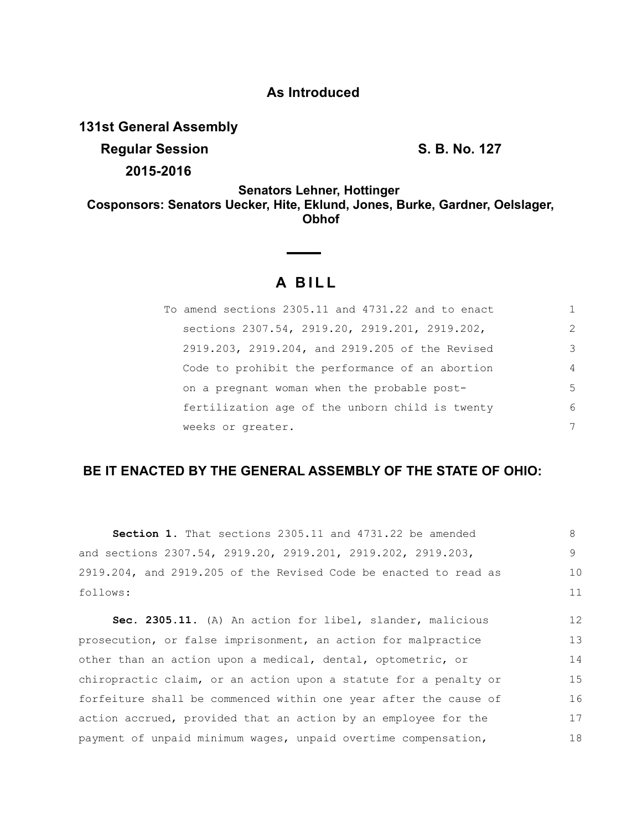### **As Introduced**

**131st General Assembly**

**Regular Session S. B. No. 127** 

16 17 18

**2015-2016**

**Senators Lehner, Hottinger Cosponsors: Senators Uecker, Hite, Eklund, Jones, Burke, Gardner, Oelslager, Obhof**

# **A B I L L**

| To amend sections 2305.11 and 4731.22 and to enact |                |
|----------------------------------------------------|----------------|
| sections 2307.54, 2919.20, 2919.201, 2919.202,     | $\mathcal{L}$  |
| 2919.203, 2919.204, and 2919.205 of the Revised    | 3              |
| Code to prohibit the performance of an abortion    | $\overline{4}$ |
| on a pregnant woman when the probable post-        | .5             |
| fertilization age of the unborn child is twenty    | 6              |
| weeks or greater.                                  | 7              |

## **BE IT ENACTED BY THE GENERAL ASSEMBLY OF THE STATE OF OHIO:**

| Section 1. That sections 2305.11 and 4731.22 be amended          | 8  |
|------------------------------------------------------------------|----|
| and sections 2307.54, 2919.20, 2919.201, 2919.202, 2919.203,     | 9  |
| 2919.204, and 2919.205 of the Revised Code be enacted to read as | 10 |
| follows:                                                         | 11 |
| Sec. 2305.11. (A) An action for libel, slander, malicious        | 12 |
|                                                                  |    |
| prosecution, or false imprisonment, an action for malpractice    | 13 |
| other than an action upon a medical, dental, optometric, or      | 14 |
| chiropractic claim, or an action upon a statute for a penalty or | 15 |

forfeiture shall be commenced within one year after the cause of action accrued, provided that an action by an employee for the payment of unpaid minimum wages, unpaid overtime compensation,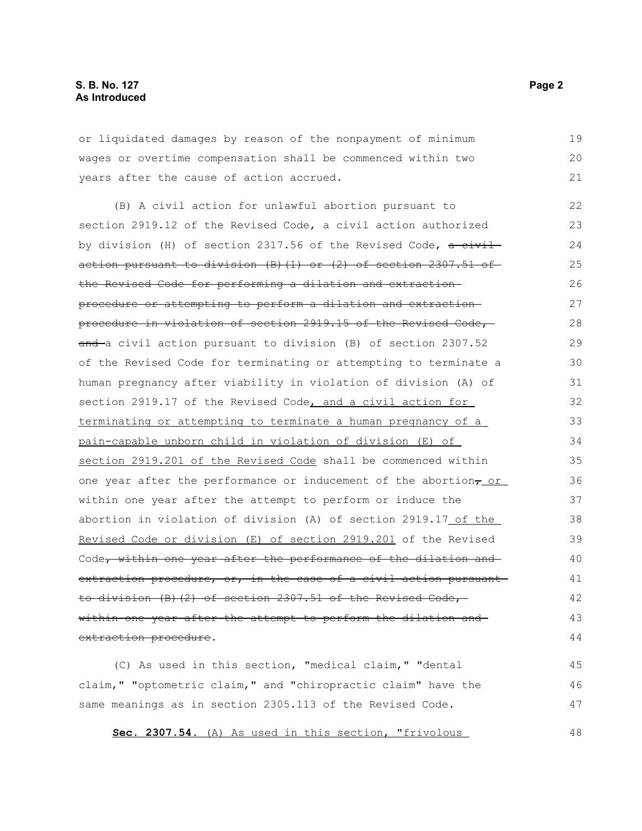or liquidated damages by reason of the nonpayment of minimum wages or overtime compensation shall be commenced within two years after the cause of action accrued.

(B) A civil action for unlawful abortion pursuant to section 2919.12 of the Revised Code, a civil action authorized by division (H) of section 2317.56 of the Revised Code,  $a$  civilaction pursuant to division  $(B)$   $(1)$  or  $(2)$  of section 2307.51 of the Revised Code for performing a dilation and extraction procedure or attempting to perform a dilation and extraction procedure in violation of section 2919.15 of the Revised Code, and a civil action pursuant to division (B) of section 2307.52 of the Revised Code for terminating or attempting to terminate a human pregnancy after viability in violation of division (A) of section 2919.17 of the Revised Code, and a civil action for terminating or attempting to terminate a human pregnancy of a pain-capable unborn child in violation of division (E) of section 2919.201 of the Revised Code shall be commenced within one year after the performance or inducement of the abortion $_7$  or within one year after the attempt to perform or induce the abortion in violation of division (A) of section 2919.17 of the Revised Code or division (E) of section 2919.201 of the Revised Code, within one year after the performance of the dilation and extraction procedure, or, in the case of a civil action pursuantto division (B)(2) of section 2307.51 of the Revised Code, within one year after the attempt to perform the dilation and extraction procedure. 22 23 24 25 26 27 28 29 30 31 32 33 34 35 36 37 38 39 40 41 42 43 44

(C) As used in this section, "medical claim," "dental claim," "optometric claim," and "chiropractic claim" have the same meanings as in section 2305.113 of the Revised Code. 45 46 47

**Sec. 2307.54.** (A) As used in this section, "frivolous

19 20 21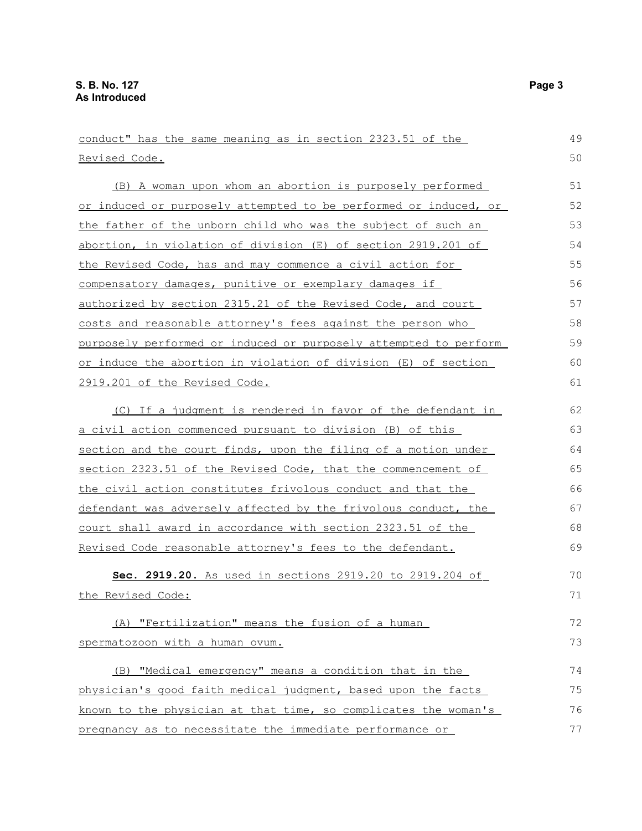conduct" has the same meaning as in section 2323.51 of the Revised Code. (B) A woman upon whom an abortion is purposely performed or induced or purposely attempted to be performed or induced, or the father of the unborn child who was the subject of such an abortion, in violation of division (E) of section 2919.201 of the Revised Code, has and may commence a civil action for compensatory damages, punitive or exemplary damages if authorized by section 2315.21 of the Revised Code, and court costs and reasonable attorney's fees against the person who purposely performed or induced or purposely attempted to perform or induce the abortion in violation of division (E) of section 2919.201 of the Revised Code. (C) If a judgment is rendered in favor of the defendant in a civil action commenced pursuant to division (B) of this section and the court finds, upon the filing of a motion under section 2323.51 of the Revised Code, that the commencement of the civil action constitutes frivolous conduct and that the defendant was adversely affected by the frivolous conduct, the court shall award in accordance with section 2323.51 of the Revised Code reasonable attorney's fees to the defendant. **Sec. 2919.20.** As used in sections 2919.20 to 2919.204 of the Revised Code: (A) "Fertilization" means the fusion of a human spermatozoon with a human ovum. (B) "Medical emergency" means a condition that in the physician's good faith medical judgment, based upon the facts known to the physician at that time, so complicates the woman's 49 50 51 52 53 54 55 56 57 58 59 60 61 62 63 64 65 66 67 68 69 70 71 72 73 74 75 76

pregnancy as to necessitate the immediate performance or 77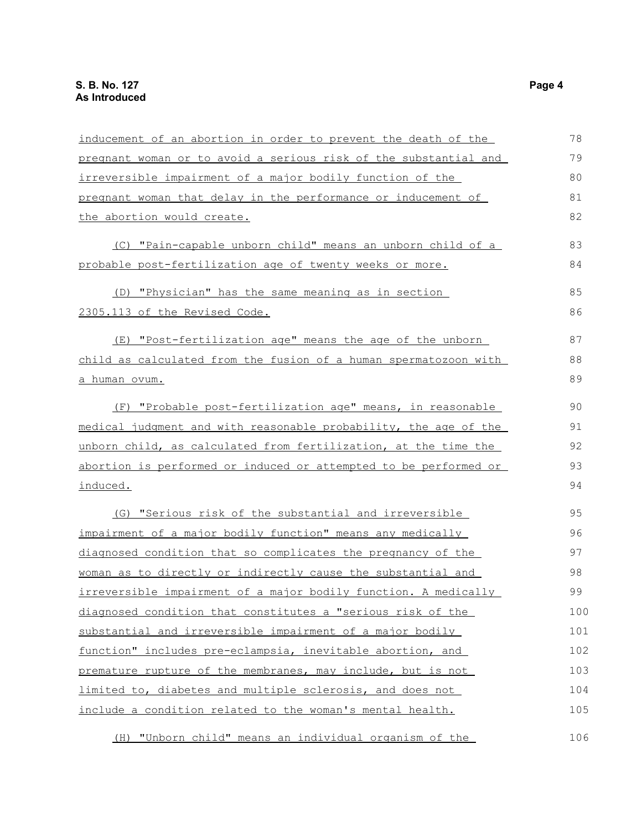| inducement of an abortion in order to prevent the death of the   | 78  |
|------------------------------------------------------------------|-----|
| pregnant woman or to avoid a serious risk of the substantial and | 79  |
| irreversible impairment of a major bodily function of the        | 80  |
| pregnant woman that delay in the performance or inducement of    | 81  |
| the abortion would create.                                       | 82  |
| (C) "Pain-capable unborn child" means an unborn child of a       | 83  |
| probable post-fertilization age of twenty weeks or more.         | 84  |
| (D) "Physician" has the same meaning as in section               | 85  |
| 2305.113 of the Revised Code.                                    | 86  |
| (E) "Post-fertilization age" means the age of the unborn         | 87  |
| child as calculated from the fusion of a human spermatozoon with | 88  |
| a human ovum.                                                    | 89  |
| (F) "Probable post-fertilization age" means, in reasonable       | 90  |
| medical judgment and with reasonable probability, the age of the | 91  |
| unborn child, as calculated from fertilization, at the time the  | 92  |
| abortion is performed or induced or attempted to be performed or | 93  |
| induced.                                                         | 94  |
| (G) "Serious risk of the substantial and irreversible            | 95  |
| impairment of a major bodily function" means any medically       | 96  |
| diagnosed condition that so complicates the pregnancy of the     | 97  |
| woman as to directly or indirectly cause the substantial and     | 98  |
| irreversible impairment of a major bodily function. A medically  | 99  |
| diagnosed condition that constitutes a "serious risk of the      | 100 |
| substantial and irreversible impairment of a major bodily        | 101 |
| function" includes pre-eclampsia, inevitable abortion, and       | 102 |
| premature rupture of the membranes, may include, but is not      | 103 |
| limited to, diabetes and multiple sclerosis, and does not        | 104 |
| include a condition related to the woman's mental health.        | 105 |
|                                                                  |     |

(H) "Unborn child" means an individual organism of the 106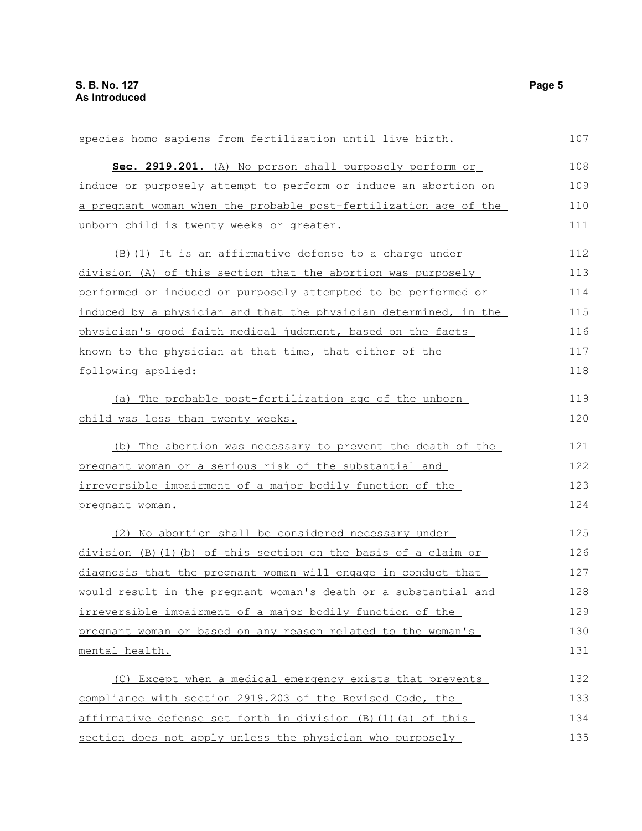| species homo sapiens from fertilization until live birth.        | 107 |
|------------------------------------------------------------------|-----|
| Sec. 2919.201. (A) No person shall purposely perform or          | 108 |
| induce or purposely attempt to perform or induce an abortion on  | 109 |
| a pregnant woman when the probable post-fertilization age of the | 110 |
| unborn child is twenty weeks or greater.                         | 111 |
| (B) (1) It is an affirmative defense to a charge under           | 112 |
| division (A) of this section that the abortion was purposely     | 113 |
| performed or induced or purposely attempted to be performed or   | 114 |
| induced by a physician and that the physician determined, in the | 115 |
| physician's good faith medical judgment, based on the facts      | 116 |
| known to the physician at that time, that either of the          | 117 |
| following applied:                                               | 118 |
| (a) The probable post-fertilization age of the unborn            | 119 |
| child was less than twenty weeks.                                | 120 |
| (b) The abortion was necessary to prevent the death of the       | 121 |
| pregnant woman or a serious risk of the substantial and          | 122 |
| irreversible impairment of a major bodily function of the        | 123 |
| pregnant woman.                                                  | 124 |
| (2) No abortion shall be considered necessary under              | 125 |
| division (B)(1)(b) of this section on the basis of a claim or    | 126 |
| diagnosis that the pregnant woman will engage in conduct that    | 127 |
| would result in the pregnant woman's death or a substantial and  | 128 |
| irreversible impairment of a major bodily function of the        | 129 |
| pregnant woman or based on any reason related to the woman's     | 130 |
| mental health.                                                   | 131 |
| (C) Except when a medical emergency exists that prevents         | 132 |
| compliance with section 2919.203 of the Revised Code, the        | 133 |
| affirmative defense set forth in division (B) (1) (a) of this    | 134 |
| section does not apply unless the physician who purposely        | 135 |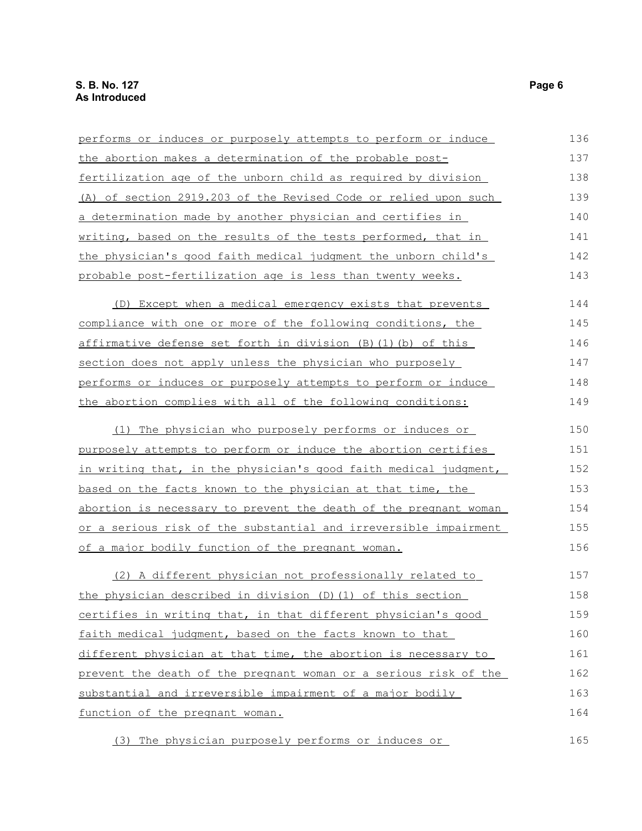| performs or induces or purposely attempts to perform or induce   | 136 |
|------------------------------------------------------------------|-----|
| the abortion makes a determination of the probable post-         | 137 |
| fertilization age of the unborn child as required by division    | 138 |
| (A) of section 2919.203 of the Revised Code or relied upon such  | 139 |
| a determination made by another physician and certifies in       | 140 |
| writing, based on the results of the tests performed, that in    | 141 |
| the physician's good faith medical judgment the unborn child's   | 142 |
| probable post-fertilization age is less than twenty weeks.       | 143 |
| (D) Except when a medical emergency exists that prevents         | 144 |
| compliance with one or more of the following conditions, the     | 145 |
| affirmative defense set forth in division (B)(1)(b) of this      | 146 |
| section does not apply unless the physician who purposely        | 147 |
| performs or induces or purposely attempts to perform or induce   | 148 |
| the abortion complies with all of the following conditions:      | 149 |
| (1) The physician who purposely performs or induces or           | 150 |
| purposely attempts to perform or induce the abortion certifies   | 151 |
| in writing that, in the physician's good faith medical judgment, | 152 |
| based on the facts known to the physician at that time, the      | 153 |
| abortion is necessary to prevent the death of the pregnant woman | 154 |
| or a serious risk of the substantial and irreversible impairment | 155 |
| of a major bodily function of the pregnant woman.                | 156 |
| (2) A different physician not professionally related to          | 157 |
| the physician described in division (D) (1) of this section      | 158 |
| certifies in writing that, in that different physician's good    | 159 |
| faith medical judgment, based on the facts known to that         | 160 |
| different physician at that time, the abortion is necessary to   | 161 |
| prevent the death of the pregnant woman or a serious risk of the | 162 |
| substantial and irreversible impairment of a major bodily        | 163 |
| function of the pregnant woman.                                  | 164 |
| (3) The physician purposely performs or induces or               | 165 |

(3) The physician purposely performs or induces or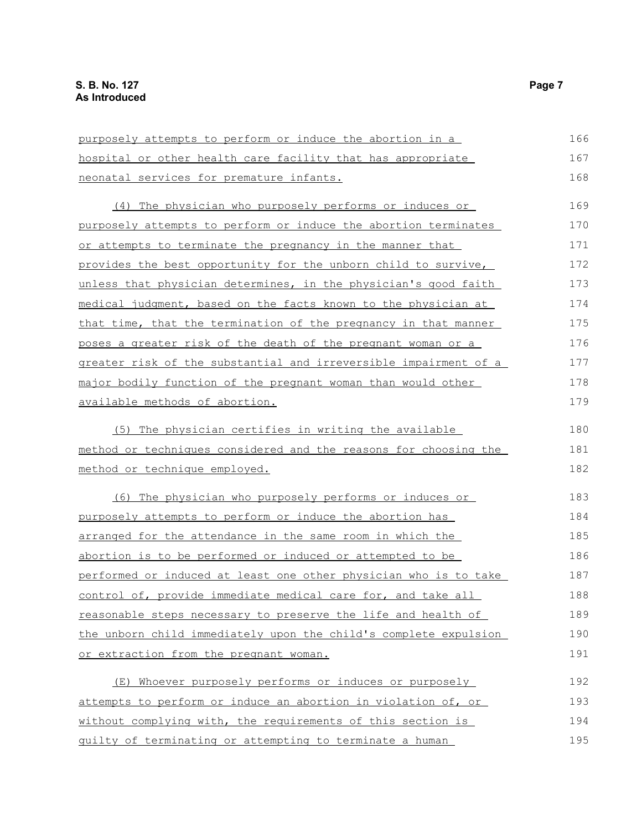| purposely attempts to perform or induce the abortion in a        | 166 |
|------------------------------------------------------------------|-----|
| hospital or other health care facility that has appropriate      | 167 |
| neonatal services for premature infants.                         | 168 |
| (4) The physician who purposely performs or induces or           | 169 |
| purposely attempts to perform or induce the abortion terminates  | 170 |
| or attempts to terminate the pregnancy in the manner that        | 171 |
| provides the best opportunity for the unborn child to survive,   | 172 |
| unless that physician determines, in the physician's good faith  | 173 |
| medical judgment, based on the facts known to the physician at   | 174 |
| that time, that the termination of the pregnancy in that manner  | 175 |
| poses a greater risk of the death of the pregnant woman or a     | 176 |
| greater risk of the substantial and irreversible impairment of a | 177 |
| major bodily function of the pregnant woman than would other     | 178 |
| available methods of abortion.                                   | 179 |
| (5) The physician certifies in writing the available             | 180 |
| method or techniques considered and the reasons for choosing the | 181 |
| method or technique employed.                                    | 182 |
| The physician who purposely performs or induces or<br>(6)        | 183 |
| purposely attempts to perform or induce the abortion has         | 184 |
| arranged for the attendance in the same room in which the        | 185 |
| abortion is to be performed or induced or attempted to be        | 186 |
| performed or induced at least one other physician who is to take | 187 |
| control of, provide immediate medical care for, and take all     | 188 |
| reasonable steps necessary to preserve the life and health of    | 189 |
| the unborn child immediately upon the child's complete expulsion | 190 |
| or extraction from the pregnant woman.                           | 191 |
| (E) Whoever purposely performs or induces or purposely           | 192 |
| attempts to perform or induce an abortion in violation of, or    | 193 |
| without complying with, the requirements of this section is      | 194 |
| guilty of terminating or attempting to terminate a human         | 195 |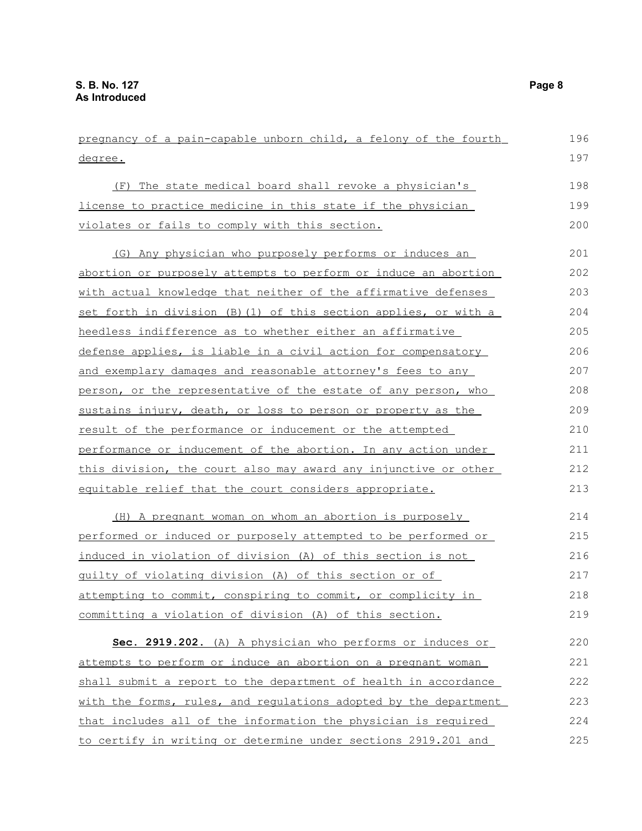pregnancy of a pain-capable unborn child, a felony of the fourth degree. (F) The state medical board shall revoke a physician's license to practice medicine in this state if the physician violates or fails to comply with this section. (G) Any physician who purposely performs or induces an abortion or purposely attempts to perform or induce an abortion with actual knowledge that neither of the affirmative defenses set forth in division (B)(1) of this section applies, or with a heedless indifference as to whether either an affirmative defense applies, is liable in a civil action for compensatory and exemplary damages and reasonable attorney's fees to any person, or the representative of the estate of any person, who sustains injury, death, or loss to person or property as the result of the performance or inducement or the attempted performance or inducement of the abortion. In any action under this division, the court also may award any injunctive or other equitable relief that the court considers appropriate. (H) A pregnant woman on whom an abortion is purposely performed or induced or purposely attempted to be performed or induced in violation of division (A) of this section is not guilty of violating division (A) of this section or of attempting to commit, conspiring to commit, or complicity in committing a violation of division (A) of this section. **Sec. 2919.202.** (A) A physician who performs or induces or attempts to perform or induce an abortion on a pregnant woman shall submit a report to the department of health in accordance with the forms, rules, and regulations adopted by the department that includes all of the information the physician is required 196 197 198 199 200 201 202 203 204 205 206 207 208 209 210 211 212 213 214 215 216 217 218 219 220 221 222 223 224

to certify in writing or determine under sections 2919.201 and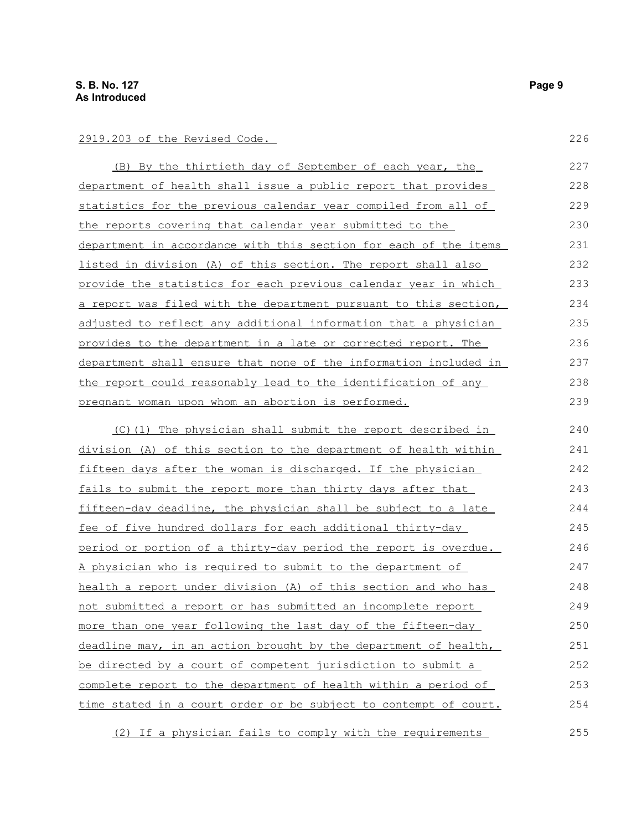#### 2919.203 of the Revised Code.

 (B) By the thirtieth day of September of each year, the department of health shall issue a public report that provides statistics for the previous calendar year compiled from all of the reports covering that calendar year submitted to the department in accordance with this section for each of the items listed in division (A) of this section. The report shall also provide the statistics for each previous calendar year in which a report was filed with the department pursuant to this section, adjusted to reflect any additional information that a physician provides to the department in a late or corrected report. The department shall ensure that none of the information included in the report could reasonably lead to the identification of any pregnant woman upon whom an abortion is performed. 227 228 229 230 231 232 233 234 235 236 237 238 239

(C)(1) The physician shall submit the report described in division (A) of this section to the department of health within fifteen days after the woman is discharged. If the physician fails to submit the report more than thirty days after that fifteen-day deadline, the physician shall be subject to a late fee of five hundred dollars for each additional thirty-day period or portion of a thirty-day period the report is overdue. A physician who is required to submit to the department of health a report under division (A) of this section and who has not submitted a report or has submitted an incomplete report more than one year following the last day of the fifteen-day deadline may, in an action brought by the department of health, be directed by a court of competent jurisdiction to submit a complete report to the department of health within a period of time stated in a court order or be subject to contempt of court. 240 241 242 243 244 245 246 247 248 249 250 251 252 253 254

(2) If a physician fails to comply with the requirements

226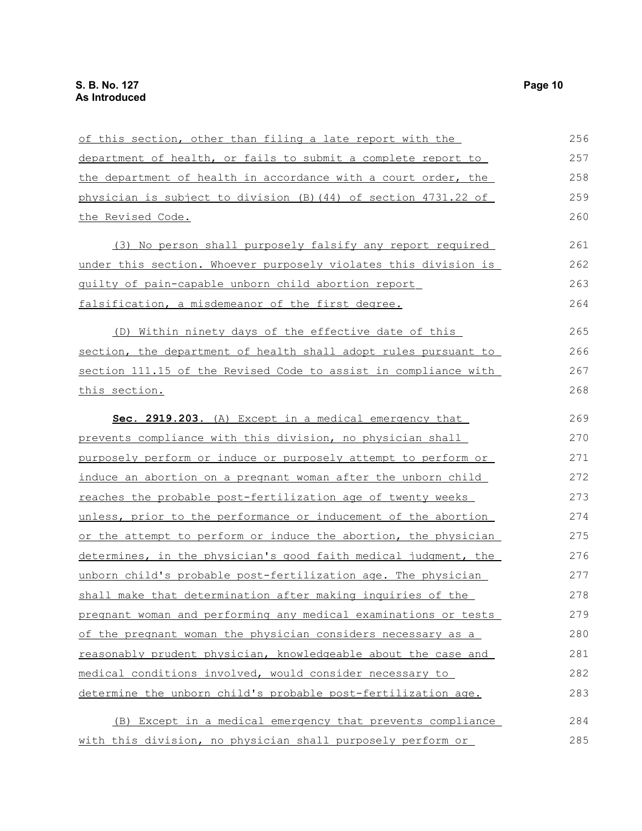| of this section, other than filing a late report with the       | 256 |
|-----------------------------------------------------------------|-----|
| department of health, or fails to submit a complete report to   | 257 |
| the department of health in accordance with a court order, the  | 258 |
| physician is subject to division (B) (44) of section 4731.22 of | 259 |
| the Revised Code.                                               | 260 |
| (3) No person shall purposely falsify any report required       | 261 |
| under this section. Whoever purposely violates this division is | 262 |
| quilty of pain-capable unborn child abortion report             | 263 |
| falsification, a misdemeanor of the first degree.               | 264 |
| (D) Within ninety days of the effective date of this            | 265 |
| section, the department of health shall adopt rules pursuant to | 266 |
| section 111.15 of the Revised Code to assist in compliance with | 267 |
| this section.                                                   | 268 |
| Sec. 2919.203. (A) Except in a medical emergency that           | 269 |
| prevents compliance with this division, no physician shall      | 270 |
| purposely perform or induce or purposely attempt to perform or  | 271 |
| induce an abortion on a pregnant woman after the unborn child   | 272 |
| reaches the probable post-fertilization age of twenty weeks     | 273 |
| unless, prior to the performance or inducement of the abortion  | 274 |
| or the attempt to perform or induce the abortion, the physician | 275 |
| determines, in the physician's good faith medical judgment, the | 276 |
| unborn child's probable post-fertilization age. The physician   | 277 |
| shall make that determination after making inquiries of the     | 278 |
| pregnant woman and performing any medical examinations or tests | 279 |
| of the pregnant woman the physician considers necessary as a    | 280 |
| reasonably prudent physician, knowledgeable about the case and  | 281 |
| medical conditions involved, would consider necessary to        | 282 |
| determine the unborn child's probable post-fertilization age.   | 283 |
| (B) Except in a medical emergency that prevents compliance      | 284 |
| with this division, no physician shall purposely perform or     | 285 |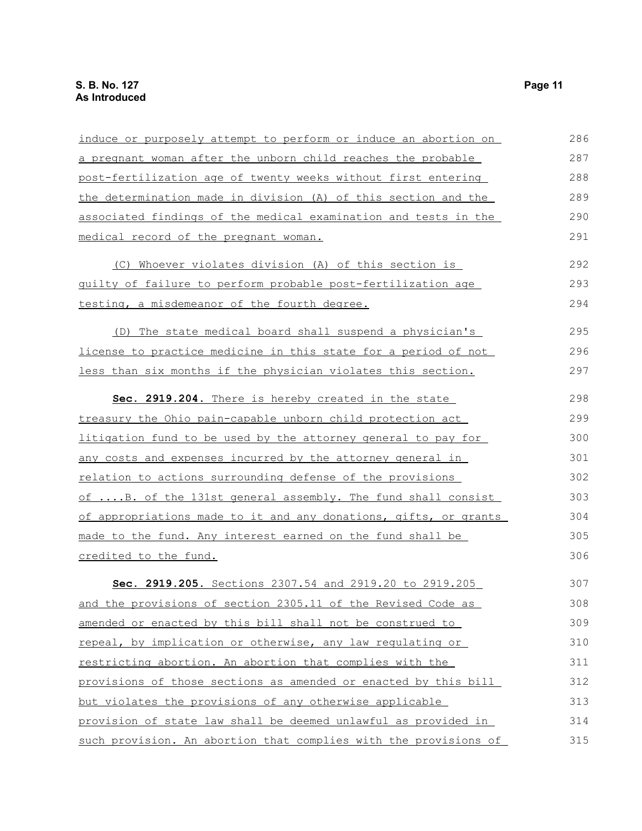| induce or purposely attempt to perform or induce an abortion on     | 286 |
|---------------------------------------------------------------------|-----|
| a pregnant woman after the unborn child reaches the probable        | 287 |
| post-fertilization age of twenty weeks without first entering       | 288 |
| the determination made in division (A) of this section and the      | 289 |
| associated findings of the medical examination and tests in the     | 290 |
| medical record of the pregnant woman.                               | 291 |
| (C) Whoever violates division (A) of this section is                | 292 |
| guilty of failure to perform probable post-fertilization age        | 293 |
| testing, a misdemeanor of the fourth degree.                        | 294 |
| (D) The state medical board shall suspend a physician's             | 295 |
| license to practice medicine in this state for a period of not      | 296 |
| <u>less than six months if the physician violates this section.</u> | 297 |
| Sec. 2919.204. There is hereby created in the state                 | 298 |
| treasury the Ohio pain-capable unborn child protection act          | 299 |
| litigation fund to be used by the attorney general to pay for       | 300 |
| <u>any costs and expenses incurred by the attorney general in</u>   | 301 |
| relation to actions surrounding defense of the provisions           | 302 |
| of B. of the 131st general assembly. The fund shall consist         | 303 |
| of appropriations made to it and any donations, gifts, or grants    | 304 |
| made to the fund. Any interest earned on the fund shall be          | 305 |
| credited to the fund.                                               | 306 |
| Sec. 2919.205. Sections 2307.54 and 2919.20 to 2919.205             | 307 |
| and the provisions of section 2305.11 of the Revised Code as        | 308 |
| amended or enacted by this bill shall not be construed to           | 309 |
| repeal, by implication or otherwise, any law requlating or          | 310 |
| restricting abortion. An abortion that complies with the            | 311 |
| provisions of those sections as amended or enacted by this bill     | 312 |
| but violates the provisions of any otherwise applicable             | 313 |
| provision of state law shall be deemed unlawful as provided in      | 314 |
| such provision. An abortion that complies with the provisions of    | 315 |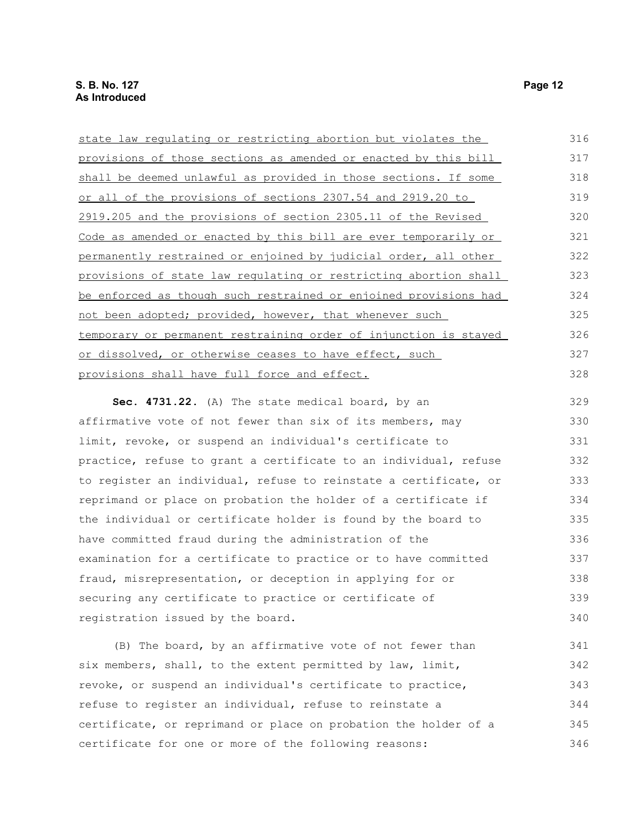| state law regulating or restricting abortion but violates the    | 316 |
|------------------------------------------------------------------|-----|
| provisions of those sections as amended or enacted by this bill  | 317 |
| shall be deemed unlawful as provided in those sections. If some  | 318 |
| or all of the provisions of sections 2307.54 and 2919.20 to      | 319 |
| 2919.205 and the provisions of section 2305.11 of the Revised    | 320 |
| Code as amended or enacted by this bill are ever temporarily or  | 321 |
| permanently restrained or enjoined by judicial order, all other  | 322 |
| provisions of state law regulating or restricting abortion shall | 323 |
| be enforced as though such restrained or enjoined provisions had | 324 |
| not been adopted; provided, however, that whenever such          | 325 |
| temporary or permanent restraining order of injunction is stayed | 326 |
| or dissolved, or otherwise ceases to have effect, such           | 327 |
| provisions shall have full force and effect.                     | 328 |
| Sec. 4731.22. (A) The state medical board, by an                 | 329 |

affirmative vote of not fewer than six of its members, may limit, revoke, or suspend an individual's certificate to practice, refuse to grant a certificate to an individual, refuse to register an individual, refuse to reinstate a certificate, or reprimand or place on probation the holder of a certificate if the individual or certificate holder is found by the board to have committed fraud during the administration of the examination for a certificate to practice or to have committed fraud, misrepresentation, or deception in applying for or securing any certificate to practice or certificate of registration issued by the board. 330 331 332 333 334 335 336 337 338 339 340

(B) The board, by an affirmative vote of not fewer than six members, shall, to the extent permitted by law, limit, revoke, or suspend an individual's certificate to practice, refuse to register an individual, refuse to reinstate a certificate, or reprimand or place on probation the holder of a certificate for one or more of the following reasons: 341 342 343 344 345 346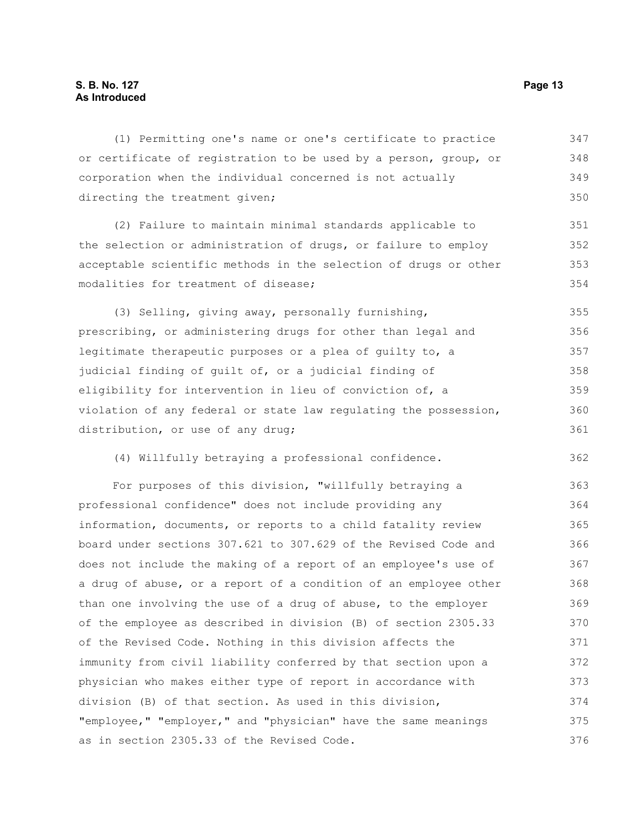### **S. B. No. 127 Page 13 As Introduced**

(1) Permitting one's name or one's certificate to practice or certificate of registration to be used by a person, group, or corporation when the individual concerned is not actually directing the treatment given; (2) Failure to maintain minimal standards applicable to the selection or administration of drugs, or failure to employ acceptable scientific methods in the selection of drugs or other modalities for treatment of disease; (3) Selling, giving away, personally furnishing, prescribing, or administering drugs for other than legal and legitimate therapeutic purposes or a plea of guilty to, a judicial finding of guilt of, or a judicial finding of eligibility for intervention in lieu of conviction of, a violation of any federal or state law regulating the possession, distribution, or use of any drug; (4) Willfully betraying a professional confidence. For purposes of this division, "willfully betraying a professional confidence" does not include providing any information, documents, or reports to a child fatality review board under sections 307.621 to 307.629 of the Revised Code and does not include the making of a report of an employee's use of a drug of abuse, or a report of a condition of an employee other than one involving the use of a drug of abuse, to the employer 347 348 349 350 351 352 353 354 355 356 357 358 359 360 361 362 363 364 365 366 367 368 369 370

of the employee as described in division (B) of section 2305.33 of the Revised Code. Nothing in this division affects the immunity from civil liability conferred by that section upon a physician who makes either type of report in accordance with division (B) of that section. As used in this division, "employee," "employer," and "physician" have the same meanings as in section 2305.33 of the Revised Code. 371 372 373 374 375 376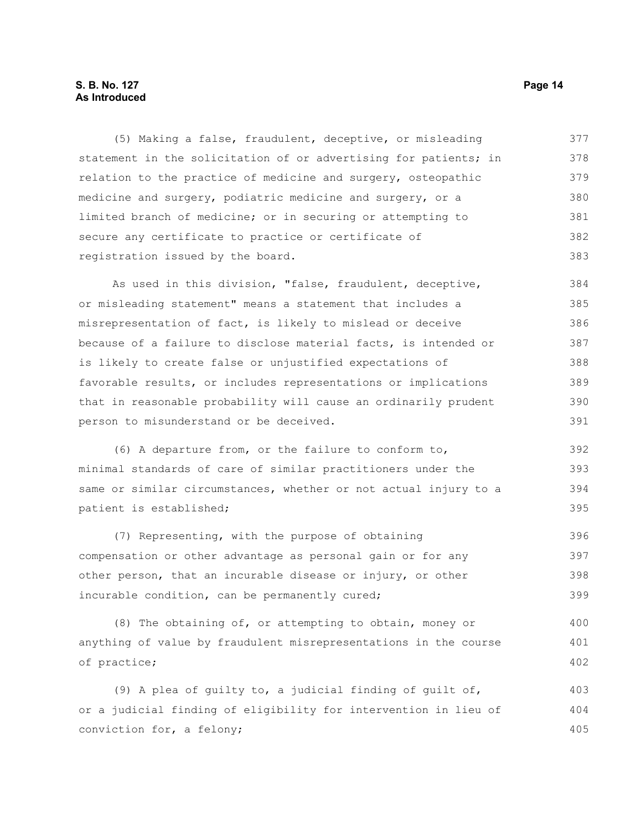### **S. B. No. 127 Page 14 As Introduced**

(5) Making a false, fraudulent, deceptive, or misleading statement in the solicitation of or advertising for patients; in relation to the practice of medicine and surgery, osteopathic medicine and surgery, podiatric medicine and surgery, or a limited branch of medicine; or in securing or attempting to secure any certificate to practice or certificate of registration issued by the board. 377 378 379 380 381 382 383

As used in this division, "false, fraudulent, deceptive, or misleading statement" means a statement that includes a misrepresentation of fact, is likely to mislead or deceive because of a failure to disclose material facts, is intended or is likely to create false or unjustified expectations of favorable results, or includes representations or implications that in reasonable probability will cause an ordinarily prudent person to misunderstand or be deceived. 384 385 386 387 388 389 390 391

(6) A departure from, or the failure to conform to, minimal standards of care of similar practitioners under the same or similar circumstances, whether or not actual injury to a patient is established; 392 393 394 395

(7) Representing, with the purpose of obtaining compensation or other advantage as personal gain or for any other person, that an incurable disease or injury, or other incurable condition, can be permanently cured; 396 397 398 399

(8) The obtaining of, or attempting to obtain, money or anything of value by fraudulent misrepresentations in the course of practice; 400 401 402

(9) A plea of guilty to, a judicial finding of guilt of, or a judicial finding of eligibility for intervention in lieu of conviction for, a felony; 403 404 405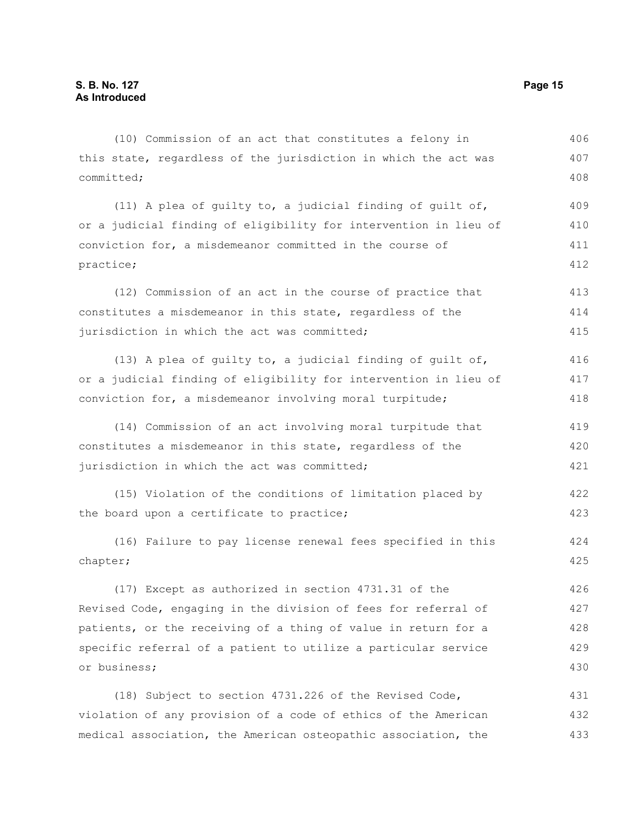(10) Commission of an act that constitutes a felony in this state, regardless of the jurisdiction in which the act was committed; (11) A plea of guilty to, a judicial finding of guilt of, or a judicial finding of eligibility for intervention in lieu of conviction for, a misdemeanor committed in the course of practice; (12) Commission of an act in the course of practice that constitutes a misdemeanor in this state, regardless of the jurisdiction in which the act was committed; (13) A plea of guilty to, a judicial finding of guilt of, or a judicial finding of eligibility for intervention in lieu of conviction for, a misdemeanor involving moral turpitude; (14) Commission of an act involving moral turpitude that constitutes a misdemeanor in this state, regardless of the jurisdiction in which the act was committed; (15) Violation of the conditions of limitation placed by the board upon a certificate to practice; (16) Failure to pay license renewal fees specified in this chapter; (17) Except as authorized in section 4731.31 of the Revised Code, engaging in the division of fees for referral of patients, or the receiving of a thing of value in return for a specific referral of a patient to utilize a particular service or business; (18) Subject to section 4731.226 of the Revised Code, violation of any provision of a code of ethics of the American 406 407 408 409 410 411 412 413 414 415 416 417 418 419 420 421 422 423 424 425 426 427 428 429 430 431 432

medical association, the American osteopathic association, the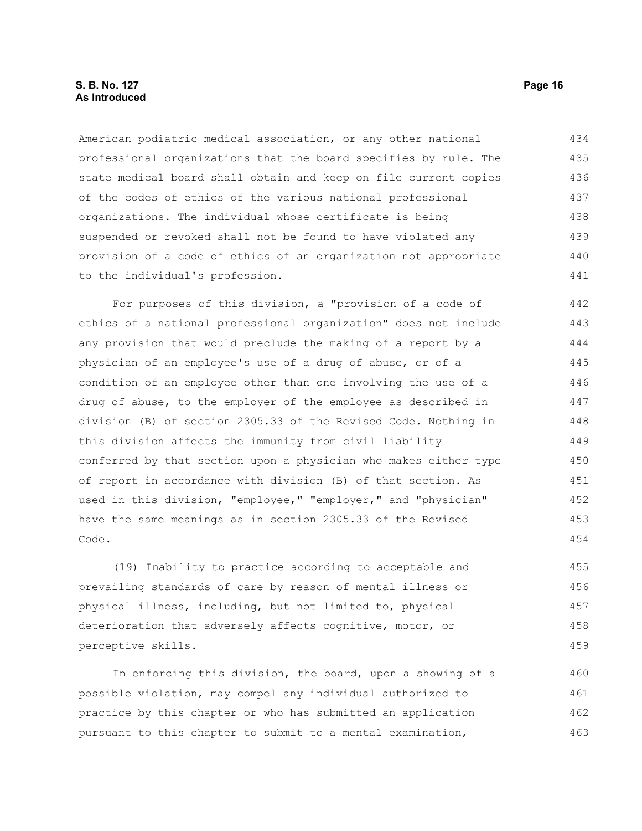#### **S. B. No. 127 Page 16 As Introduced**

American podiatric medical association, or any other national professional organizations that the board specifies by rule. The state medical board shall obtain and keep on file current copies of the codes of ethics of the various national professional organizations. The individual whose certificate is being suspended or revoked shall not be found to have violated any provision of a code of ethics of an organization not appropriate to the individual's profession. 434 435 436 437 438 439 440 441

For purposes of this division, a "provision of a code of ethics of a national professional organization" does not include any provision that would preclude the making of a report by a physician of an employee's use of a drug of abuse, or of a condition of an employee other than one involving the use of a drug of abuse, to the employer of the employee as described in division (B) of section 2305.33 of the Revised Code. Nothing in this division affects the immunity from civil liability conferred by that section upon a physician who makes either type of report in accordance with division (B) of that section. As used in this division, "employee," "employer," and "physician" have the same meanings as in section 2305.33 of the Revised Code. 442 443 444 445 446 447 448 449 450 451 452 453 454

(19) Inability to practice according to acceptable and prevailing standards of care by reason of mental illness or physical illness, including, but not limited to, physical deterioration that adversely affects cognitive, motor, or perceptive skills. 455 456 457 458 459

In enforcing this division, the board, upon a showing of a possible violation, may compel any individual authorized to practice by this chapter or who has submitted an application pursuant to this chapter to submit to a mental examination, 460 461 462 463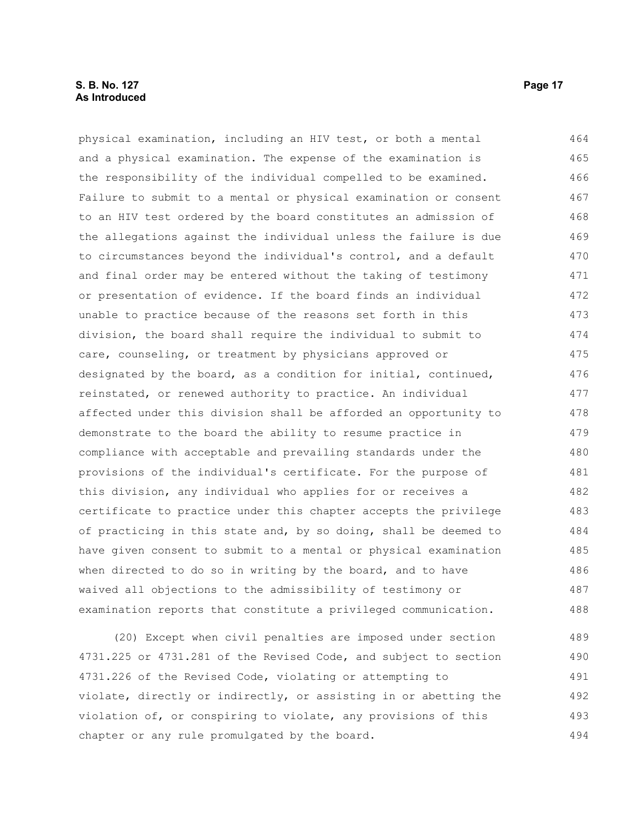### **S. B. No. 127 Page 17 As Introduced**

physical examination, including an HIV test, or both a mental and a physical examination. The expense of the examination is the responsibility of the individual compelled to be examined. Failure to submit to a mental or physical examination or consent to an HIV test ordered by the board constitutes an admission of the allegations against the individual unless the failure is due to circumstances beyond the individual's control, and a default and final order may be entered without the taking of testimony or presentation of evidence. If the board finds an individual unable to practice because of the reasons set forth in this division, the board shall require the individual to submit to care, counseling, or treatment by physicians approved or designated by the board, as a condition for initial, continued, reinstated, or renewed authority to practice. An individual affected under this division shall be afforded an opportunity to demonstrate to the board the ability to resume practice in compliance with acceptable and prevailing standards under the provisions of the individual's certificate. For the purpose of this division, any individual who applies for or receives a certificate to practice under this chapter accepts the privilege of practicing in this state and, by so doing, shall be deemed to have given consent to submit to a mental or physical examination when directed to do so in writing by the board, and to have waived all objections to the admissibility of testimony or examination reports that constitute a privileged communication. 464 465 466 467 468 469 470 471 472 473 474 475 476 477 478 479 480 481 482 483 484 485 486 487 488

(20) Except when civil penalties are imposed under section 4731.225 or 4731.281 of the Revised Code, and subject to section 4731.226 of the Revised Code, violating or attempting to violate, directly or indirectly, or assisting in or abetting the violation of, or conspiring to violate, any provisions of this chapter or any rule promulgated by the board. 489 490 491 492 493 494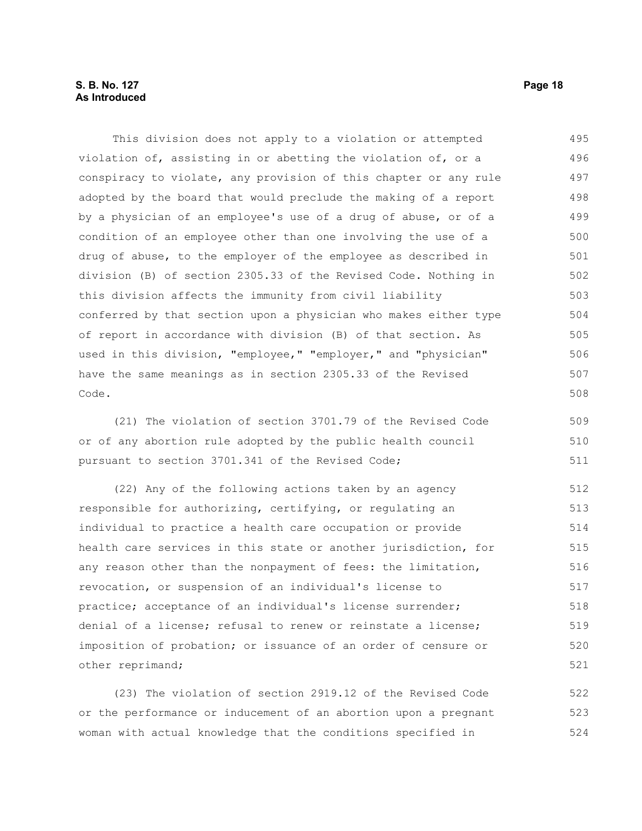This division does not apply to a violation or attempted violation of, assisting in or abetting the violation of, or a conspiracy to violate, any provision of this chapter or any rule adopted by the board that would preclude the making of a report by a physician of an employee's use of a drug of abuse, or of a condition of an employee other than one involving the use of a drug of abuse, to the employer of the employee as described in division (B) of section 2305.33 of the Revised Code. Nothing in this division affects the immunity from civil liability conferred by that section upon a physician who makes either type of report in accordance with division (B) of that section. As used in this division, "employee," "employer," and "physician" have the same meanings as in section 2305.33 of the Revised Code. 495 496 497 498 499 500 501 502 503 504 505 506 507 508

(21) The violation of section 3701.79 of the Revised Code or of any abortion rule adopted by the public health council pursuant to section 3701.341 of the Revised Code; 509 510 511

(22) Any of the following actions taken by an agency responsible for authorizing, certifying, or regulating an individual to practice a health care occupation or provide health care services in this state or another jurisdiction, for any reason other than the nonpayment of fees: the limitation, revocation, or suspension of an individual's license to practice; acceptance of an individual's license surrender; denial of a license; refusal to renew or reinstate a license; imposition of probation; or issuance of an order of censure or other reprimand; 512 513 514 515 516 517 518 519 520 521

(23) The violation of section 2919.12 of the Revised Code or the performance or inducement of an abortion upon a pregnant woman with actual knowledge that the conditions specified in 522 523 524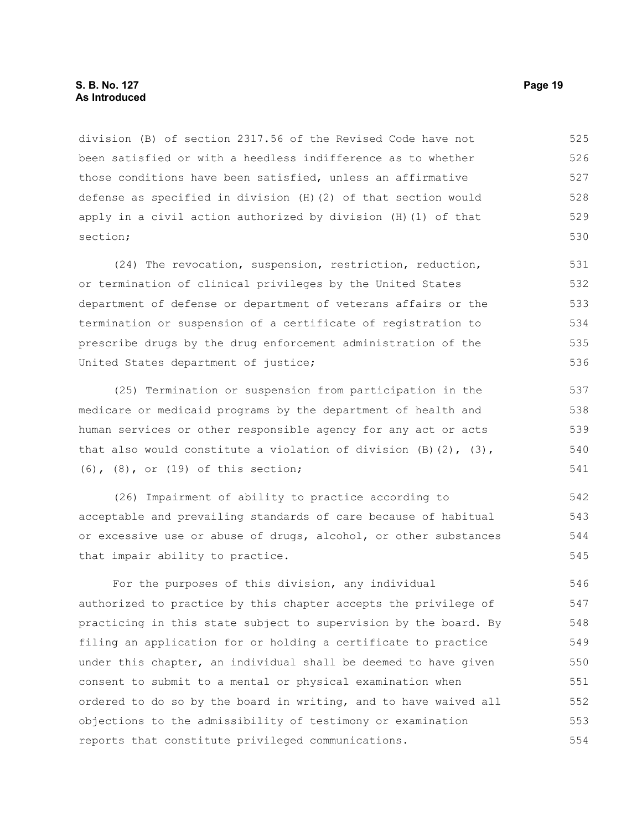division (B) of section 2317.56 of the Revised Code have not been satisfied or with a heedless indifference as to whether those conditions have been satisfied, unless an affirmative defense as specified in division (H)(2) of that section would apply in a civil action authorized by division (H)(1) of that section; 525 526 527 528 529 530

(24) The revocation, suspension, restriction, reduction, or termination of clinical privileges by the United States department of defense or department of veterans affairs or the termination or suspension of a certificate of registration to prescribe drugs by the drug enforcement administration of the United States department of justice; 531 532 533 534 535 536

(25) Termination or suspension from participation in the medicare or medicaid programs by the department of health and human services or other responsible agency for any act or acts that also would constitute a violation of division  $(B)$   $(2)$ ,  $(3)$ , (6), (8), or (19) of this section; 537 538 539 540 541

(26) Impairment of ability to practice according to acceptable and prevailing standards of care because of habitual or excessive use or abuse of drugs, alcohol, or other substances that impair ability to practice. 542 543 544 545

For the purposes of this division, any individual authorized to practice by this chapter accepts the privilege of practicing in this state subject to supervision by the board. By filing an application for or holding a certificate to practice under this chapter, an individual shall be deemed to have given consent to submit to a mental or physical examination when ordered to do so by the board in writing, and to have waived all objections to the admissibility of testimony or examination reports that constitute privileged communications. 546 547 548 549 550 551 552 553 554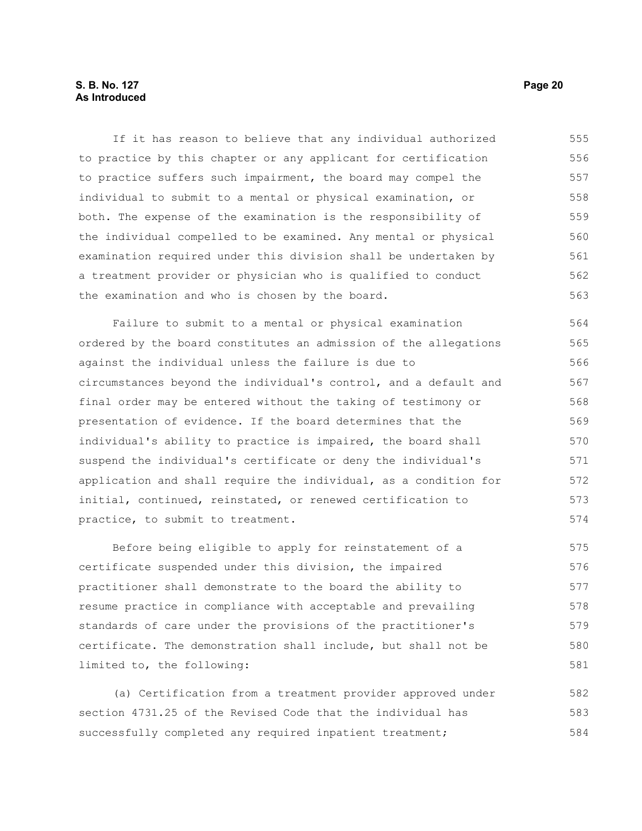If it has reason to believe that any individual authorized to practice by this chapter or any applicant for certification to practice suffers such impairment, the board may compel the individual to submit to a mental or physical examination, or both. The expense of the examination is the responsibility of the individual compelled to be examined. Any mental or physical examination required under this division shall be undertaken by a treatment provider or physician who is qualified to conduct the examination and who is chosen by the board. 555 556 557 558 559 560 561 562 563

Failure to submit to a mental or physical examination ordered by the board constitutes an admission of the allegations against the individual unless the failure is due to circumstances beyond the individual's control, and a default and final order may be entered without the taking of testimony or presentation of evidence. If the board determines that the individual's ability to practice is impaired, the board shall suspend the individual's certificate or deny the individual's application and shall require the individual, as a condition for initial, continued, reinstated, or renewed certification to practice, to submit to treatment. 564 565 566 567 568 569 570 571 572 573 574

Before being eligible to apply for reinstatement of a certificate suspended under this division, the impaired practitioner shall demonstrate to the board the ability to resume practice in compliance with acceptable and prevailing standards of care under the provisions of the practitioner's certificate. The demonstration shall include, but shall not be limited to, the following: 575 576 577 578 579 580 581

(a) Certification from a treatment provider approved under section 4731.25 of the Revised Code that the individual has successfully completed any required inpatient treatment; 582 583 584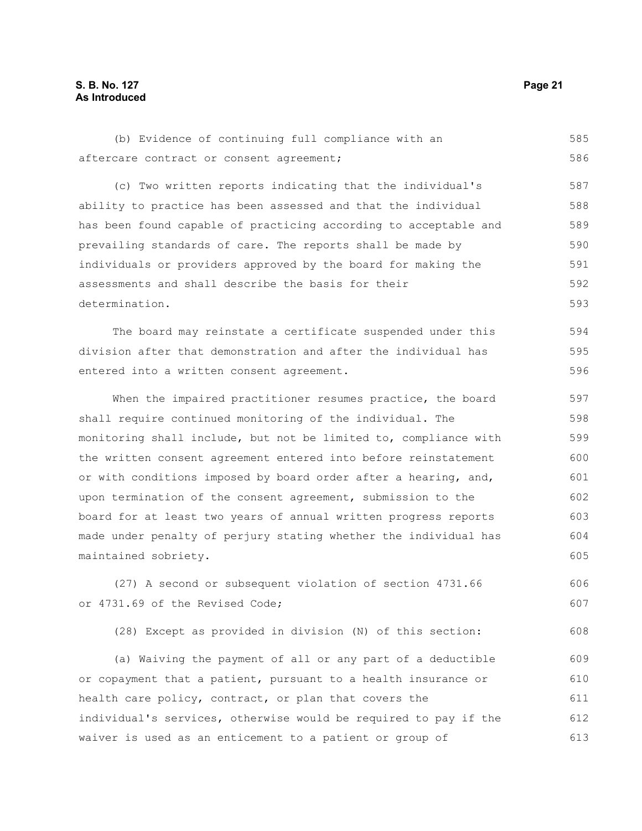### **S. B. No. 127 Page 21 As Introduced**

(b) Evidence of continuing full compliance with an aftercare contract or consent agreement; (c) Two written reports indicating that the individual's ability to practice has been assessed and that the individual has been found capable of practicing according to acceptable and prevailing standards of care. The reports shall be made by individuals or providers approved by the board for making the assessments and shall describe the basis for their determination. The board may reinstate a certificate suspended under this division after that demonstration and after the individual has entered into a written consent agreement. When the impaired practitioner resumes practice, the board shall require continued monitoring of the individual. The monitoring shall include, but not be limited to, compliance with the written consent agreement entered into before reinstatement or with conditions imposed by board order after a hearing, and, upon termination of the consent agreement, submission to the board for at least two years of annual written progress reports made under penalty of perjury stating whether the individual has maintained sobriety. (27) A second or subsequent violation of section 4731.66 or 4731.69 of the Revised Code; (28) Except as provided in division (N) of this section: (a) Waiving the payment of all or any part of a deductible or copayment that a patient, pursuant to a health insurance or 585 586 587 588 589 590 591 592 593 594 595 596 597 598 599 600 601 602 603 604 605 606 607 608 609 610 611

health care policy, contract, or plan that covers the individual's services, otherwise would be required to pay if the waiver is used as an enticement to a patient or group of 612 613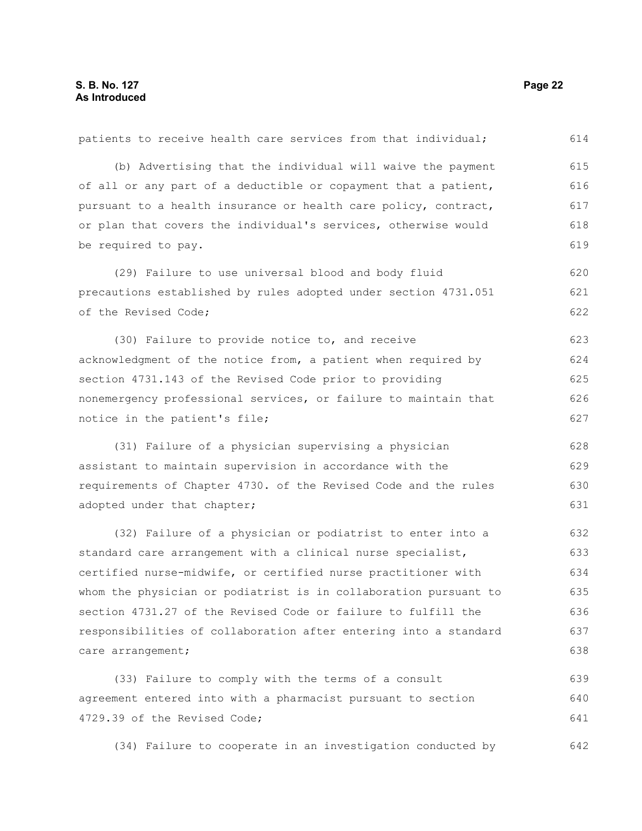| patients to receive health care services from that individual;   | 614 |
|------------------------------------------------------------------|-----|
| (b) Advertising that the individual will waive the payment       | 615 |
| of all or any part of a deductible or copayment that a patient,  | 616 |
| pursuant to a health insurance or health care policy, contract,  | 617 |
| or plan that covers the individual's services, otherwise would   | 618 |
| be required to pay.                                              | 619 |
| (29) Failure to use universal blood and body fluid               | 620 |
| precautions established by rules adopted under section 4731.051  | 621 |
| of the Revised Code;                                             | 622 |
| (30) Failure to provide notice to, and receive                   | 623 |
| acknowledgment of the notice from, a patient when required by    | 624 |
| section 4731.143 of the Revised Code prior to providing          | 625 |
| nonemergency professional services, or failure to maintain that  | 626 |
| notice in the patient's file;                                    | 627 |
| (31) Failure of a physician supervising a physician              | 628 |
| assistant to maintain supervision in accordance with the         | 629 |
| requirements of Chapter 4730. of the Revised Code and the rules  | 630 |
| adopted under that chapter;                                      | 631 |
| (32) Failure of a physician or podiatrist to enter into a        | 632 |
| standard care arrangement with a clinical nurse specialist,      | 633 |
| certified nurse-midwife, or certified nurse practitioner with    | 634 |
| whom the physician or podiatrist is in collaboration pursuant to | 635 |
| section 4731.27 of the Revised Code or failure to fulfill the    | 636 |
| responsibilities of collaboration after entering into a standard | 637 |
| care arrangement;                                                | 638 |
| (33) Failure to comply with the terms of a consult               | 639 |
| agreement entered into with a pharmacist pursuant to section     | 640 |
| 4729.39 of the Revised Code;                                     | 641 |
| (34) Failure to cooperate in an investigation conducted by       | 642 |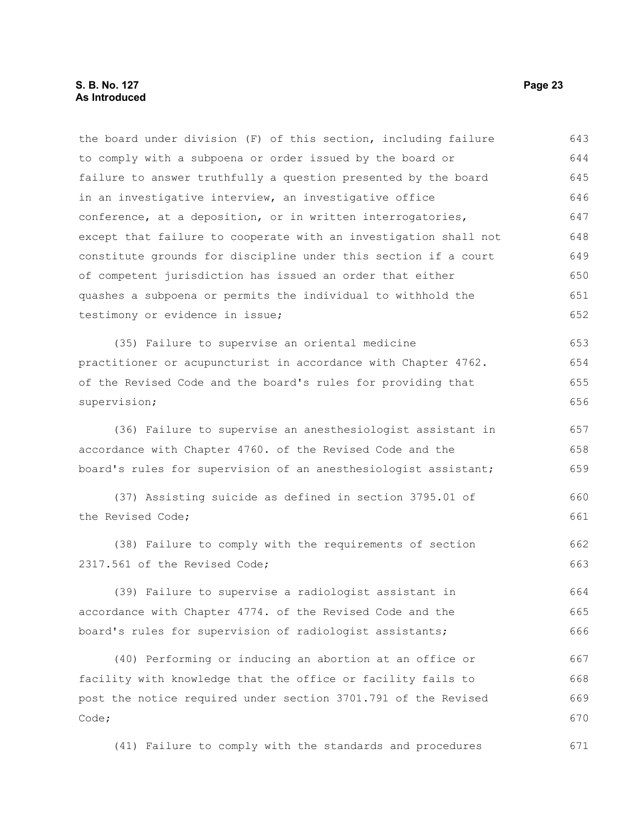the board under division (F) of this section, including failure to comply with a subpoena or order issued by the board or failure to answer truthfully a question presented by the board in an investigative interview, an investigative office conference, at a deposition, or in written interrogatories, except that failure to cooperate with an investigation shall not constitute grounds for discipline under this section if a court of competent jurisdiction has issued an order that either quashes a subpoena or permits the individual to withhold the testimony or evidence in issue; (35) Failure to supervise an oriental medicine practitioner or acupuncturist in accordance with Chapter 4762. of the Revised Code and the board's rules for providing that supervision; (36) Failure to supervise an anesthesiologist assistant in accordance with Chapter 4760. of the Revised Code and the board's rules for supervision of an anesthesiologist assistant; (37) Assisting suicide as defined in section 3795.01 of the Revised Code; (38) Failure to comply with the requirements of section 2317.561 of the Revised Code; (39) Failure to supervise a radiologist assistant in accordance with Chapter 4774. of the Revised Code and the board's rules for supervision of radiologist assistants; (40) Performing or inducing an abortion at an office or facility with knowledge that the office or facility fails to 643 644 645 646 647 648 649 650 651 652 653 654 655 656 657 658 659 660 661 662 663 664 665 666 667 668

post the notice required under section 3701.791 of the Revised Code; 669 670

(41) Failure to comply with the standards and procedures 671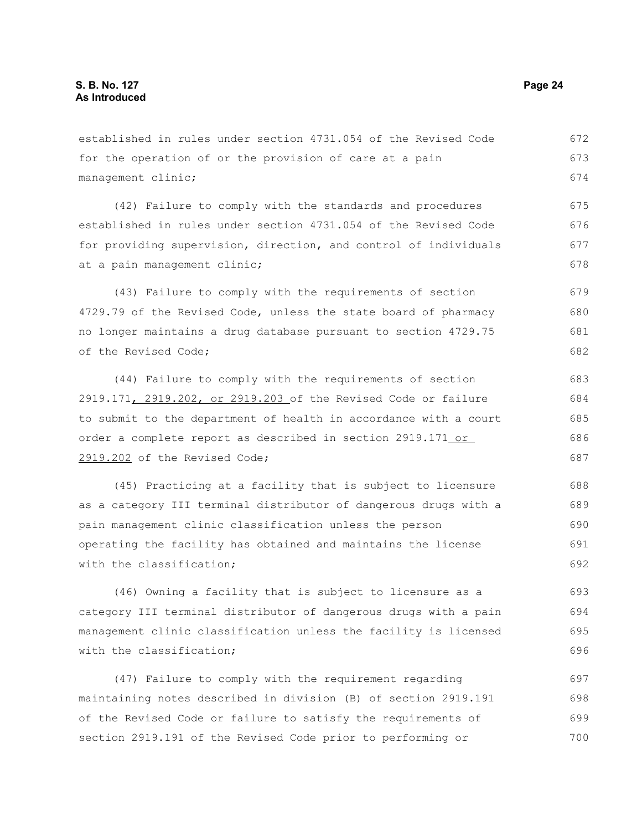established in rules under section 4731.054 of the Revised Code for the operation of or the provision of care at a pain management clinic; 672 673 674

(42) Failure to comply with the standards and procedures established in rules under section 4731.054 of the Revised Code for providing supervision, direction, and control of individuals at a pain management clinic; 675 676 677 678

(43) Failure to comply with the requirements of section 4729.79 of the Revised Code, unless the state board of pharmacy no longer maintains a drug database pursuant to section 4729.75 of the Revised Code; 679 680 681 682

(44) Failure to comply with the requirements of section 2919.171, 2919.202, or 2919.203 of the Revised Code or failure to submit to the department of health in accordance with a court order a complete report as described in section 2919.171 or 2919.202 of the Revised Code; 683 684 685 686 687

(45) Practicing at a facility that is subject to licensure as a category III terminal distributor of dangerous drugs with a pain management clinic classification unless the person operating the facility has obtained and maintains the license with the classification; 688 689 690 691 692

(46) Owning a facility that is subject to licensure as a category III terminal distributor of dangerous drugs with a pain management clinic classification unless the facility is licensed with the classification: 693 694 695 696

(47) Failure to comply with the requirement regarding maintaining notes described in division (B) of section 2919.191 of the Revised Code or failure to satisfy the requirements of section 2919.191 of the Revised Code prior to performing or 697 698 699 700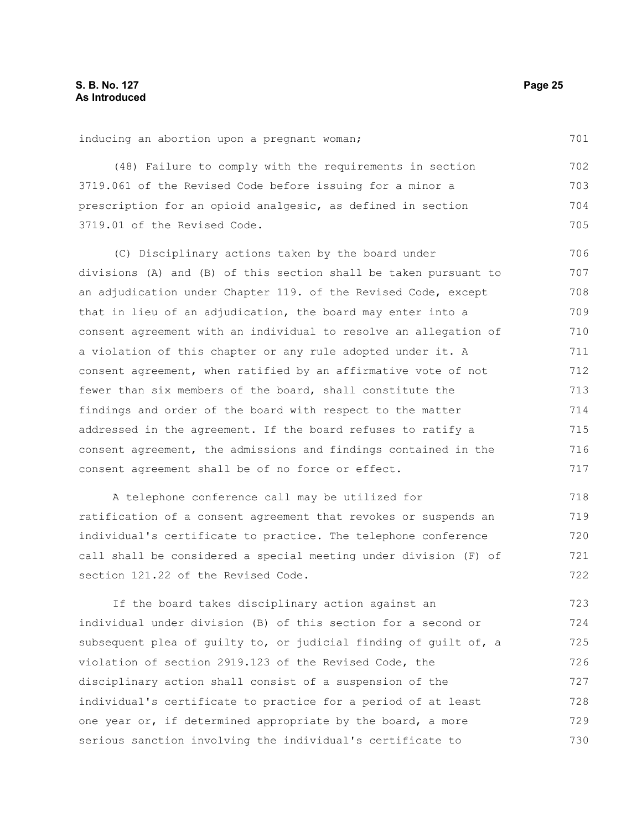inducing an abortion upon a pregnant woman; (48) Failure to comply with the requirements in section 3719.061 of the Revised Code before issuing for a minor a prescription for an opioid analgesic, as defined in section 3719.01 of the Revised Code. (C) Disciplinary actions taken by the board under divisions (A) and (B) of this section shall be taken pursuant to an adjudication under Chapter 119. of the Revised Code, except that in lieu of an adjudication, the board may enter into a consent agreement with an individual to resolve an allegation of a violation of this chapter or any rule adopted under it. A consent agreement, when ratified by an affirmative vote of not fewer than six members of the board, shall constitute the findings and order of the board with respect to the matter addressed in the agreement. If the board refuses to ratify a consent agreement, the admissions and findings contained in the consent agreement shall be of no force or effect. A telephone conference call may be utilized for 701 702 703 704 705 706 707 708 709 710 711 712 713 714 715 716 717 718

ratification of a consent agreement that revokes or suspends an individual's certificate to practice. The telephone conference call shall be considered a special meeting under division (F) of section 121.22 of the Revised Code. 719 720 721 722

If the board takes disciplinary action against an individual under division (B) of this section for a second or subsequent plea of guilty to, or judicial finding of guilt of, a violation of section 2919.123 of the Revised Code, the disciplinary action shall consist of a suspension of the individual's certificate to practice for a period of at least one year or, if determined appropriate by the board, a more serious sanction involving the individual's certificate to 723 724 725 726 727 728 729 730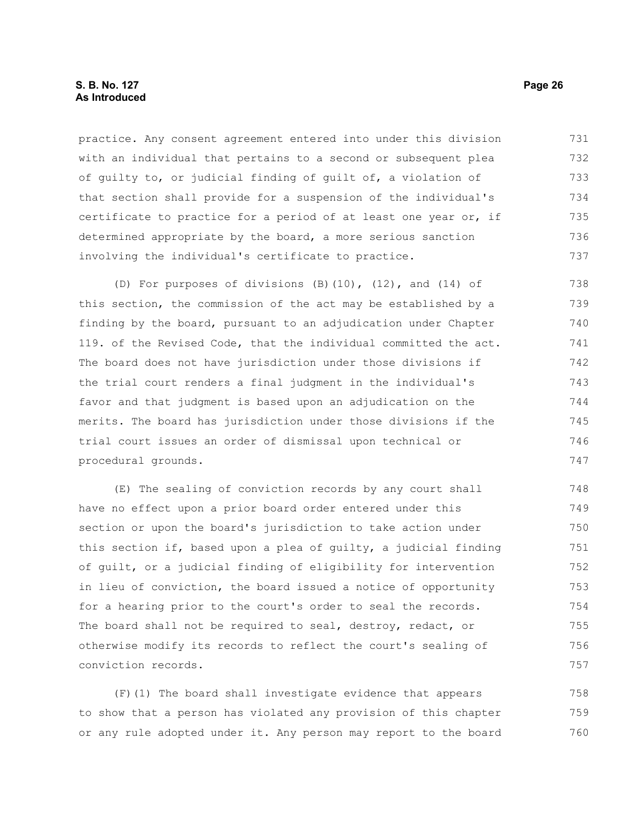#### **S. B. No. 127 Page 26 As Introduced**

practice. Any consent agreement entered into under this division with an individual that pertains to a second or subsequent plea of guilty to, or judicial finding of guilt of, a violation of that section shall provide for a suspension of the individual's certificate to practice for a period of at least one year or, if determined appropriate by the board, a more serious sanction involving the individual's certificate to practice. 731 732 733 734 735 736 737

(D) For purposes of divisions (B)(10), (12), and (14) of this section, the commission of the act may be established by a finding by the board, pursuant to an adjudication under Chapter 119. of the Revised Code, that the individual committed the act. The board does not have jurisdiction under those divisions if the trial court renders a final judgment in the individual's favor and that judgment is based upon an adjudication on the merits. The board has jurisdiction under those divisions if the trial court issues an order of dismissal upon technical or procedural grounds. 738 739 740 741 742 743 744 745 746 747

(E) The sealing of conviction records by any court shall have no effect upon a prior board order entered under this section or upon the board's jurisdiction to take action under this section if, based upon a plea of guilty, a judicial finding of guilt, or a judicial finding of eligibility for intervention in lieu of conviction, the board issued a notice of opportunity for a hearing prior to the court's order to seal the records. The board shall not be required to seal, destroy, redact, or otherwise modify its records to reflect the court's sealing of conviction records. 748 749 750 751 752 753 754 755 756 757

(F)(1) The board shall investigate evidence that appears to show that a person has violated any provision of this chapter or any rule adopted under it. Any person may report to the board 758 759 760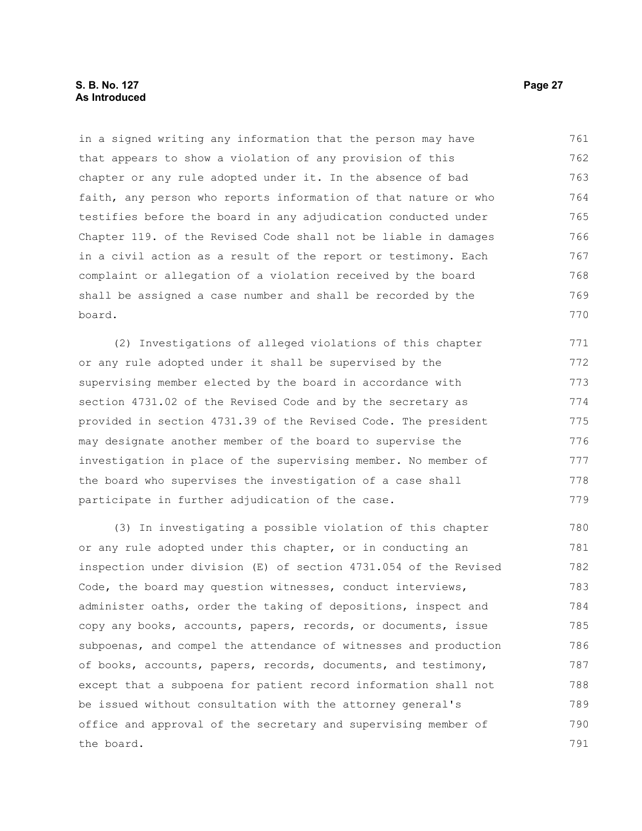#### **S. B. No. 127 Page 27 As Introduced**

in a signed writing any information that the person may have that appears to show a violation of any provision of this chapter or any rule adopted under it. In the absence of bad faith, any person who reports information of that nature or who testifies before the board in any adjudication conducted under Chapter 119. of the Revised Code shall not be liable in damages in a civil action as a result of the report or testimony. Each complaint or allegation of a violation received by the board shall be assigned a case number and shall be recorded by the board. 761 762 763 764 765 766 767 768 769 770

(2) Investigations of alleged violations of this chapter or any rule adopted under it shall be supervised by the supervising member elected by the board in accordance with section 4731.02 of the Revised Code and by the secretary as provided in section 4731.39 of the Revised Code. The president may designate another member of the board to supervise the investigation in place of the supervising member. No member of the board who supervises the investigation of a case shall participate in further adjudication of the case. 771 772 773 774 775 776 777 778 779

(3) In investigating a possible violation of this chapter or any rule adopted under this chapter, or in conducting an inspection under division (E) of section 4731.054 of the Revised Code, the board may question witnesses, conduct interviews, administer oaths, order the taking of depositions, inspect and copy any books, accounts, papers, records, or documents, issue subpoenas, and compel the attendance of witnesses and production of books, accounts, papers, records, documents, and testimony, except that a subpoena for patient record information shall not be issued without consultation with the attorney general's office and approval of the secretary and supervising member of the board. 780 781 782 783 784 785 786 787 788 789 790 791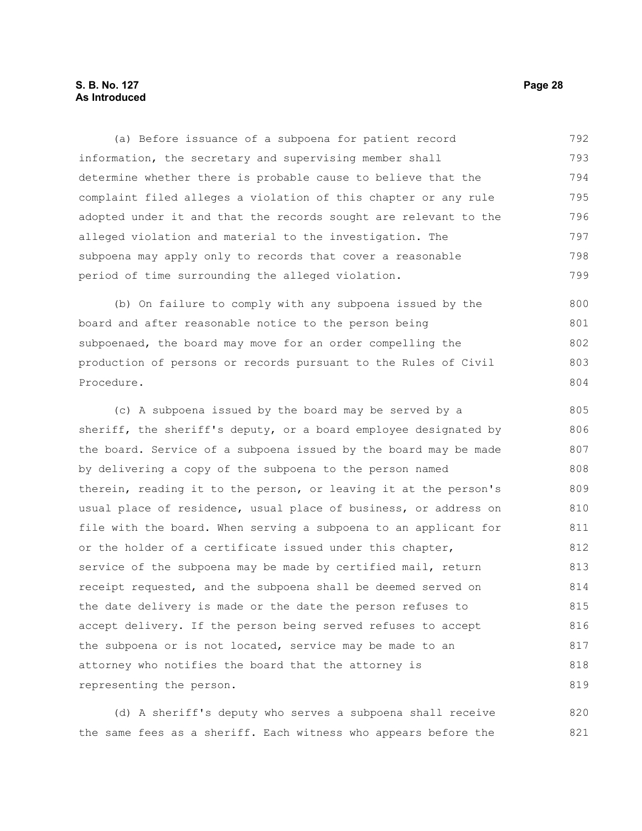### **S. B. No. 127 Page 28 As Introduced**

(a) Before issuance of a subpoena for patient record information, the secretary and supervising member shall determine whether there is probable cause to believe that the complaint filed alleges a violation of this chapter or any rule adopted under it and that the records sought are relevant to the alleged violation and material to the investigation. The subpoena may apply only to records that cover a reasonable period of time surrounding the alleged violation. 792 793 794 795 796 797 798 799

(b) On failure to comply with any subpoena issued by the board and after reasonable notice to the person being subpoenaed, the board may move for an order compelling the production of persons or records pursuant to the Rules of Civil Procedure. 800 801 802 803 804

(c) A subpoena issued by the board may be served by a sheriff, the sheriff's deputy, or a board employee designated by the board. Service of a subpoena issued by the board may be made by delivering a copy of the subpoena to the person named therein, reading it to the person, or leaving it at the person's usual place of residence, usual place of business, or address on file with the board. When serving a subpoena to an applicant for or the holder of a certificate issued under this chapter, service of the subpoena may be made by certified mail, return receipt requested, and the subpoena shall be deemed served on the date delivery is made or the date the person refuses to accept delivery. If the person being served refuses to accept the subpoena or is not located, service may be made to an attorney who notifies the board that the attorney is representing the person. 805 806 807 808 809 810 811 812 813 814 815 816 817 818 819

(d) A sheriff's deputy who serves a subpoena shall receive the same fees as a sheriff. Each witness who appears before the 820 821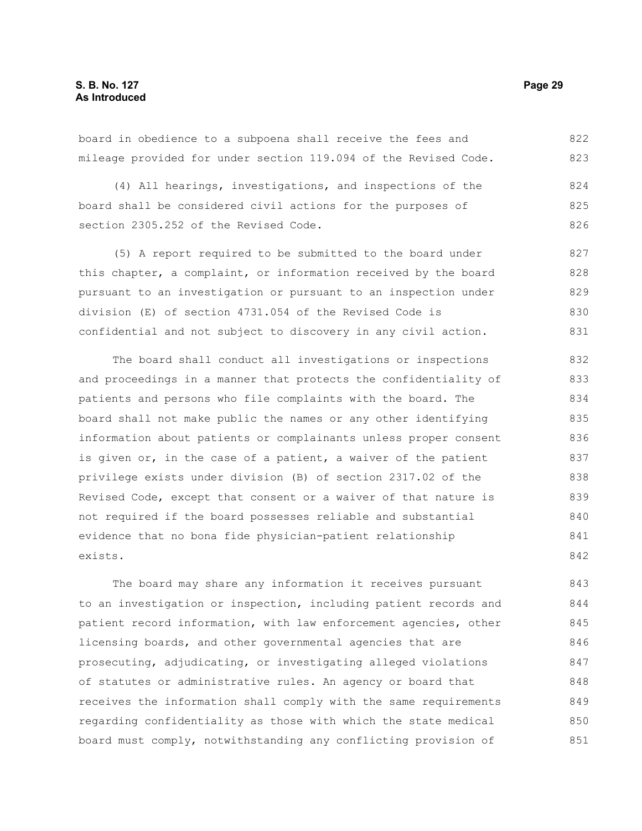board in obedience to a subpoena shall receive the fees and mileage provided for under section 119.094 of the Revised Code. 822 823

(4) All hearings, investigations, and inspections of the board shall be considered civil actions for the purposes of section 2305.252 of the Revised Code. 824 825 826

(5) A report required to be submitted to the board under this chapter, a complaint, or information received by the board pursuant to an investigation or pursuant to an inspection under division (E) of section 4731.054 of the Revised Code is confidential and not subject to discovery in any civil action. 827 828 829 830 831

The board shall conduct all investigations or inspections and proceedings in a manner that protects the confidentiality of patients and persons who file complaints with the board. The board shall not make public the names or any other identifying information about patients or complainants unless proper consent is given or, in the case of a patient, a waiver of the patient privilege exists under division (B) of section 2317.02 of the Revised Code, except that consent or a waiver of that nature is not required if the board possesses reliable and substantial evidence that no bona fide physician-patient relationship exists. 832 833 834 835 836 837 838 839 840 841 842

The board may share any information it receives pursuant to an investigation or inspection, including patient records and patient record information, with law enforcement agencies, other licensing boards, and other governmental agencies that are prosecuting, adjudicating, or investigating alleged violations of statutes or administrative rules. An agency or board that receives the information shall comply with the same requirements regarding confidentiality as those with which the state medical board must comply, notwithstanding any conflicting provision of 843 844 845 846 847 848 849 850 851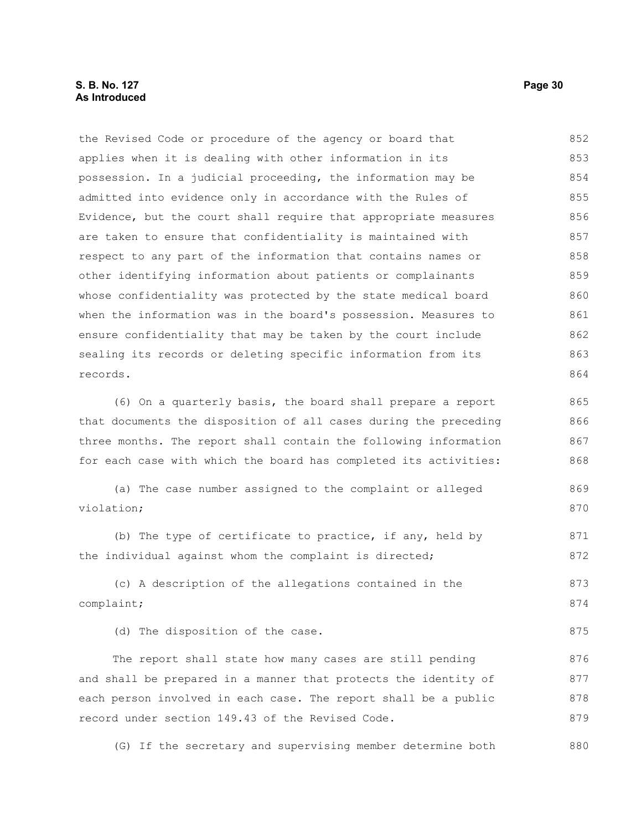#### **S. B. No. 127 Page 30 As Introduced**

the Revised Code or procedure of the agency or board that applies when it is dealing with other information in its possession. In a judicial proceeding, the information may be admitted into evidence only in accordance with the Rules of Evidence, but the court shall require that appropriate measures are taken to ensure that confidentiality is maintained with respect to any part of the information that contains names or other identifying information about patients or complainants whose confidentiality was protected by the state medical board when the information was in the board's possession. Measures to ensure confidentiality that may be taken by the court include sealing its records or deleting specific information from its records. (6) On a quarterly basis, the board shall prepare a report that documents the disposition of all cases during the preceding three months. The report shall contain the following information for each case with which the board has completed its activities: (a) The case number assigned to the complaint or alleged violation; (b) The type of certificate to practice, if any, held by the individual against whom the complaint is directed; (c) A description of the allegations contained in the complaint; (d) The disposition of the case. The report shall state how many cases are still pending and shall be prepared in a manner that protects the identity of each person involved in each case. The report shall be a public 852 853 854 855 856 857 858 859 860 861 862 863 864 865 866 867 868 869 870 871 872 873 874 875 876 877 878

(G) If the secretary and supervising member determine both 880

record under section 149.43 of the Revised Code.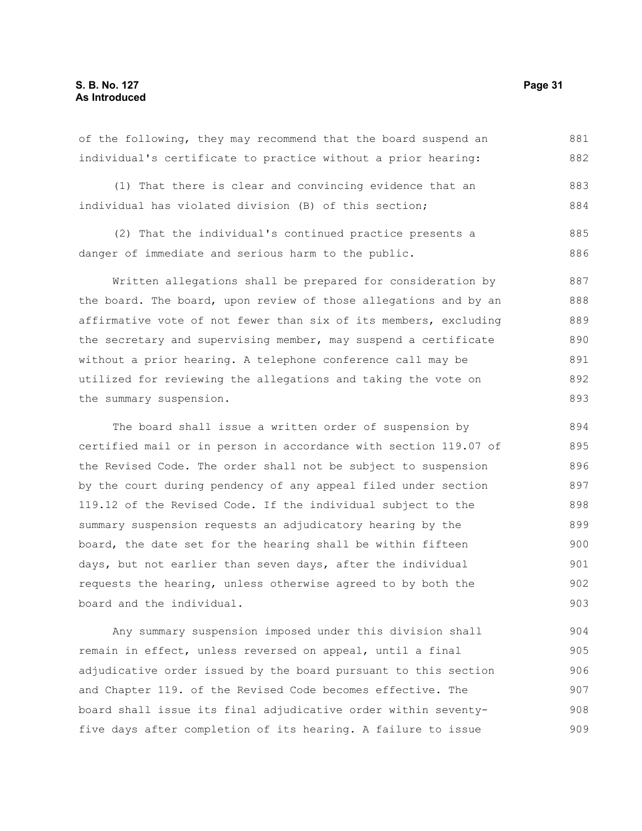individual's certificate to practice without a prior hearing: (1) That there is clear and convincing evidence that an individual has violated division (B) of this section; (2) That the individual's continued practice presents a danger of immediate and serious harm to the public. Written allegations shall be prepared for consideration by the board. The board, upon review of those allegations and by an 882 883 884 885 886 887 888

affirmative vote of not fewer than six of its members, excluding the secretary and supervising member, may suspend a certificate without a prior hearing. A telephone conference call may be utilized for reviewing the allegations and taking the vote on the summary suspension. 889 890 891 892 893

The board shall issue a written order of suspension by certified mail or in person in accordance with section 119.07 of the Revised Code. The order shall not be subject to suspension by the court during pendency of any appeal filed under section 119.12 of the Revised Code. If the individual subject to the summary suspension requests an adjudicatory hearing by the board, the date set for the hearing shall be within fifteen days, but not earlier than seven days, after the individual requests the hearing, unless otherwise agreed to by both the board and the individual. 894 895 896 897 898 899 900 901 902 903

Any summary suspension imposed under this division shall remain in effect, unless reversed on appeal, until a final adjudicative order issued by the board pursuant to this section and Chapter 119. of the Revised Code becomes effective. The board shall issue its final adjudicative order within seventyfive days after completion of its hearing. A failure to issue 904 905 906 907 908 909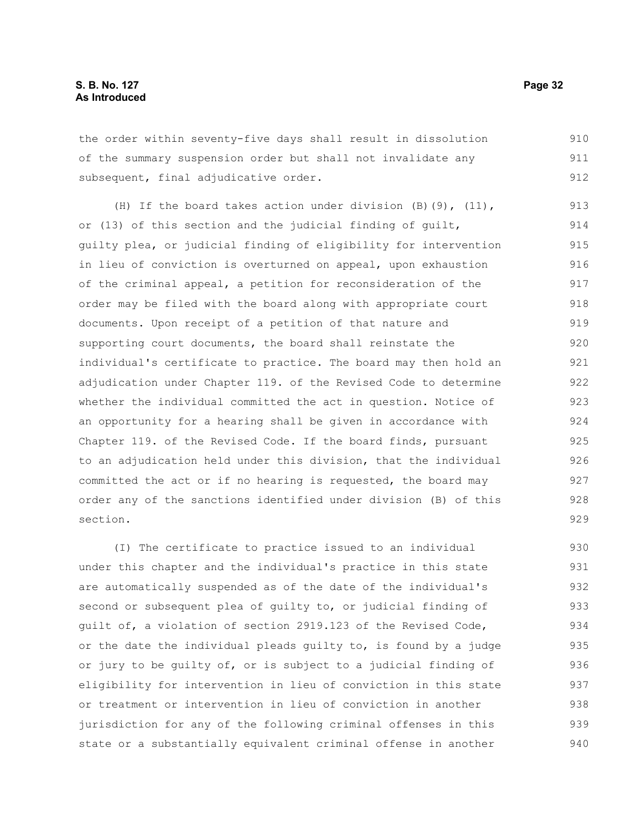the order within seventy-five days shall result in dissolution of the summary suspension order but shall not invalidate any subsequent, final adjudicative order. 910 911 912

(H) If the board takes action under division (B)(9), (11), or (13) of this section and the judicial finding of guilt, guilty plea, or judicial finding of eligibility for intervention in lieu of conviction is overturned on appeal, upon exhaustion of the criminal appeal, a petition for reconsideration of the order may be filed with the board along with appropriate court documents. Upon receipt of a petition of that nature and supporting court documents, the board shall reinstate the individual's certificate to practice. The board may then hold an adjudication under Chapter 119. of the Revised Code to determine whether the individual committed the act in question. Notice of an opportunity for a hearing shall be given in accordance with Chapter 119. of the Revised Code. If the board finds, pursuant to an adjudication held under this division, that the individual committed the act or if no hearing is requested, the board may order any of the sanctions identified under division (B) of this section. 913 914 915 916 917 918 919 920 921 922 923 924 925 926 927 928 929

(I) The certificate to practice issued to an individual under this chapter and the individual's practice in this state are automatically suspended as of the date of the individual's second or subsequent plea of guilty to, or judicial finding of guilt of, a violation of section 2919.123 of the Revised Code, or the date the individual pleads guilty to, is found by a judge or jury to be guilty of, or is subject to a judicial finding of eligibility for intervention in lieu of conviction in this state or treatment or intervention in lieu of conviction in another jurisdiction for any of the following criminal offenses in this state or a substantially equivalent criminal offense in another 930 931 932 933 934 935 936 937 938 939 940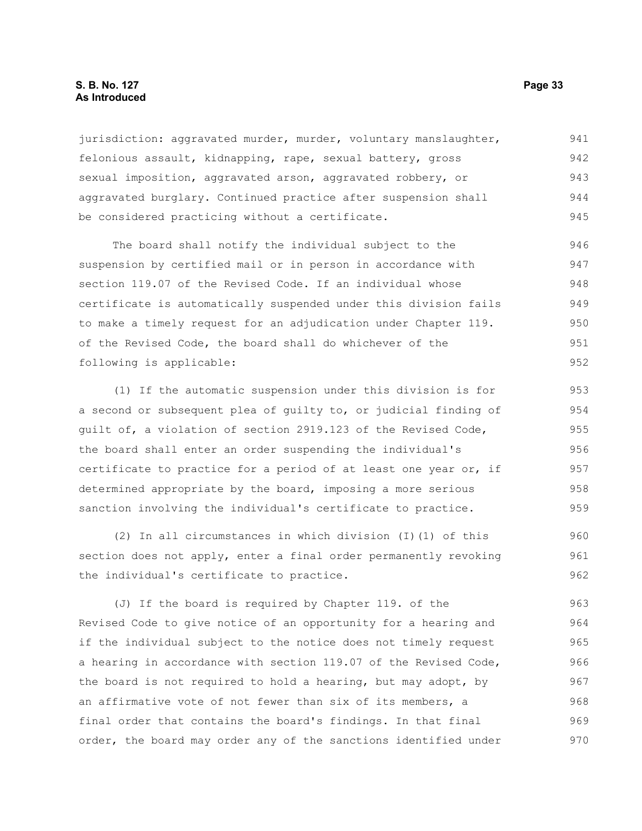#### **S. B. No. 127 Page 33 As Introduced**

jurisdiction: aggravated murder, murder, voluntary manslaughter, felonious assault, kidnapping, rape, sexual battery, gross sexual imposition, aggravated arson, aggravated robbery, or aggravated burglary. Continued practice after suspension shall be considered practicing without a certificate. 941 942 943 944 945

The board shall notify the individual subject to the suspension by certified mail or in person in accordance with section 119.07 of the Revised Code. If an individual whose certificate is automatically suspended under this division fails to make a timely request for an adjudication under Chapter 119. of the Revised Code, the board shall do whichever of the following is applicable: 946 947 948 949 950 951 952

(1) If the automatic suspension under this division is for a second or subsequent plea of guilty to, or judicial finding of guilt of, a violation of section 2919.123 of the Revised Code, the board shall enter an order suspending the individual's certificate to practice for a period of at least one year or, if determined appropriate by the board, imposing a more serious sanction involving the individual's certificate to practice. 953 954 955 956 957 958 959

(2) In all circumstances in which division (I)(1) of this section does not apply, enter a final order permanently revoking the individual's certificate to practice. 960 961 962

(J) If the board is required by Chapter 119. of the Revised Code to give notice of an opportunity for a hearing and if the individual subject to the notice does not timely request a hearing in accordance with section 119.07 of the Revised Code, the board is not required to hold a hearing, but may adopt, by an affirmative vote of not fewer than six of its members, a final order that contains the board's findings. In that final order, the board may order any of the sanctions identified under 963 964 965 966 967 968 969 970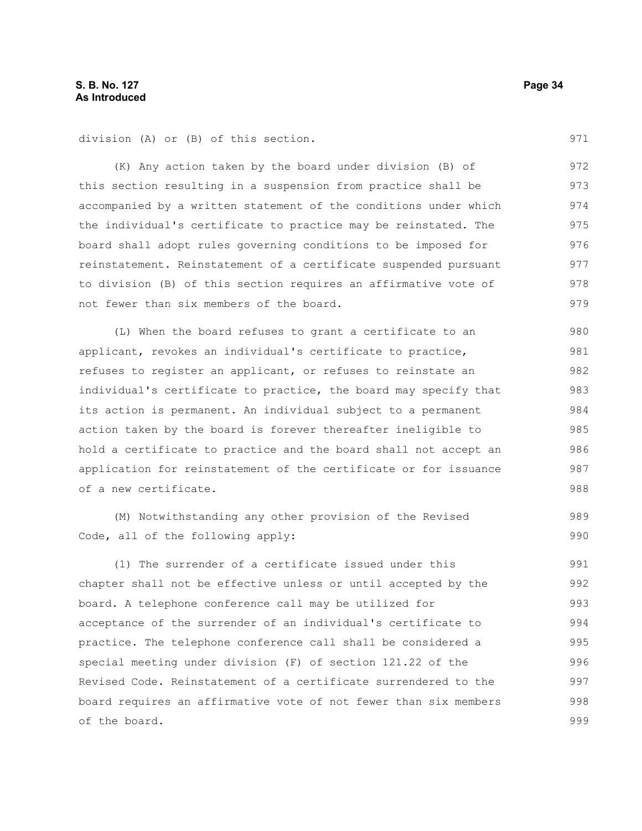division (A) or (B) of this section.

(K) Any action taken by the board under division (B) of this section resulting in a suspension from practice shall be accompanied by a written statement of the conditions under which the individual's certificate to practice may be reinstated. The board shall adopt rules governing conditions to be imposed for reinstatement. Reinstatement of a certificate suspended pursuant to division (B) of this section requires an affirmative vote of not fewer than six members of the board. 972 973 974 975 976 977 978 979

(L) When the board refuses to grant a certificate to an applicant, revokes an individual's certificate to practice, refuses to register an applicant, or refuses to reinstate an individual's certificate to practice, the board may specify that its action is permanent. An individual subject to a permanent action taken by the board is forever thereafter ineligible to hold a certificate to practice and the board shall not accept an application for reinstatement of the certificate or for issuance of a new certificate. 980 981 982 983 984 985 986 987 988

(M) Notwithstanding any other provision of the Revised Code, all of the following apply: 989 990

(1) The surrender of a certificate issued under this chapter shall not be effective unless or until accepted by the board. A telephone conference call may be utilized for acceptance of the surrender of an individual's certificate to practice. The telephone conference call shall be considered a special meeting under division (F) of section 121.22 of the Revised Code. Reinstatement of a certificate surrendered to the board requires an affirmative vote of not fewer than six members of the board. 991 992 993 994 995 996 997 998 999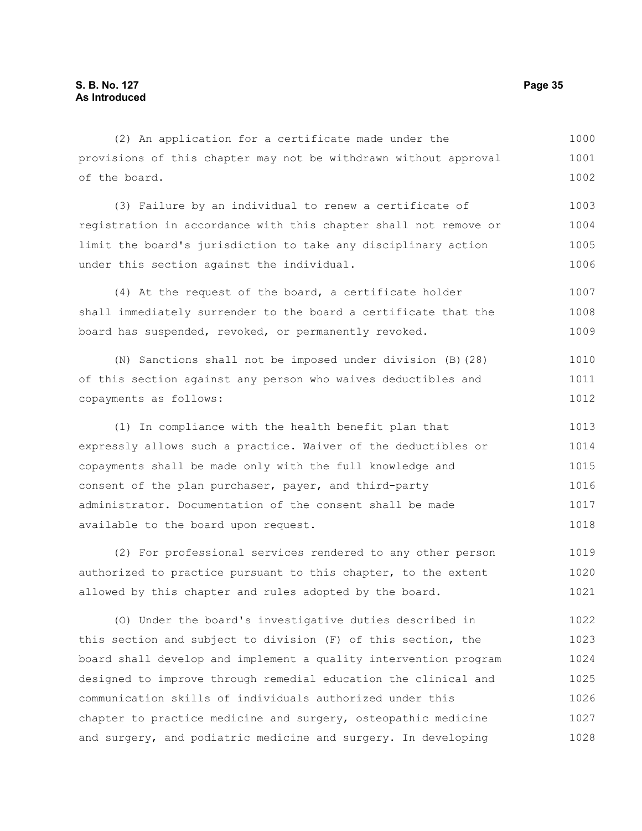| (2) An application for a certificate made under the              | 1000 |
|------------------------------------------------------------------|------|
| provisions of this chapter may not be withdrawn without approval | 1001 |
| of the board.                                                    | 1002 |
| (3) Failure by an individual to renew a certificate of           | 1003 |
| registration in accordance with this chapter shall not remove or | 1004 |
| limit the board's jurisdiction to take any disciplinary action   | 1005 |
| under this section against the individual.                       | 1006 |
| (4) At the request of the board, a certificate holder            | 1007 |
| shall immediately surrender to the board a certificate that the  | 1008 |
| board has suspended, revoked, or permanently revoked.            | 1009 |
| (N) Sanctions shall not be imposed under division (B) (28)       | 1010 |
| of this section against any person who waives deductibles and    | 1011 |
| copayments as follows:                                           | 1012 |
| (1) In compliance with the health benefit plan that              | 1013 |
| expressly allows such a practice. Waiver of the deductibles or   | 1014 |
| copayments shall be made only with the full knowledge and        | 1015 |
| consent of the plan purchaser, payer, and third-party            | 1016 |
| administrator. Documentation of the consent shall be made        | 1017 |
| available to the board upon request.                             | 1018 |
| (2) For professional services rendered to any other person       | 1019 |
| authorized to practice pursuant to this chapter, to the extent   | 1020 |
| allowed by this chapter and rules adopted by the board.          | 1021 |
| (0) Under the board's investigative duties described in          | 1022 |

this section and subject to division (F) of this section, the board shall develop and implement a quality intervention program designed to improve through remedial education the clinical and communication skills of individuals authorized under this chapter to practice medicine and surgery, osteopathic medicine and surgery, and podiatric medicine and surgery. In developing 1023 1024 1025 1026 1027 1028